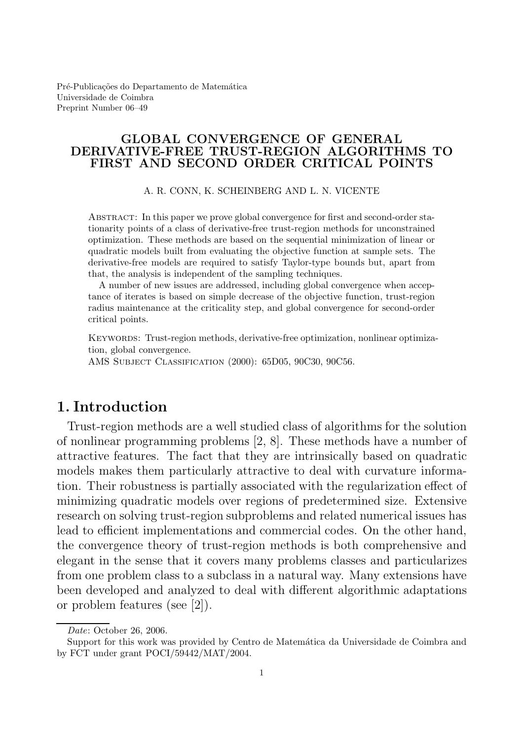Pré-Publicações do Departamento de Matemática Universidade de Coimbra Preprint Number 06–49

#### GLOBAL CONVERGENCE OF GENERAL DERIVATIVE-FREE TRUST-REGION ALGORITHMS TO FIRST AND SECOND ORDER CRITICAL POINTS

A. R. CONN, K. SCHEINBERG AND L. N. VICENTE

Abstract: In this paper we prove global convergence for first and second-order stationarity points of a class of derivative-free trust-region methods for unconstrained optimization. These methods are based on the sequential minimization of linear or quadratic models built from evaluating the objective function at sample sets. The derivative-free models are required to satisfy Taylor-type bounds but, apart from that, the analysis is independent of the sampling techniques.

A number of new issues are addressed, including global convergence when acceptance of iterates is based on simple decrease of the objective function, trust-region radius maintenance at the criticality step, and global convergence for second-order critical points.

KEYWORDS: Trust-region methods, derivative-free optimization, nonlinear optimization, global convergence.

AMS Subject Classification (2000): 65D05, 90C30, 90C56.

# 1. Introduction

Trust-region methods are a well studied class of algorithms for the solution of nonlinear programming problems [2, 8]. These methods have a number of attractive features. The fact that they are intrinsically based on quadratic models makes them particularly attractive to deal with curvature information. Their robustness is partially associated with the regularization effect of minimizing quadratic models over regions of predetermined size. Extensive research on solving trust-region subproblems and related numerical issues has lead to efficient implementations and commercial codes. On the other hand, the convergence theory of trust-region methods is both comprehensive and elegant in the sense that it covers many problems classes and particularizes from one problem class to a subclass in a natural way. Many extensions have been developed and analyzed to deal with different algorithmic adaptations or problem features (see [2]).

Date: October 26, 2006.

Support for this work was provided by Centro de Matemática da Universidade de Coimbra and by FCT under grant POCI/59442/MAT/2004.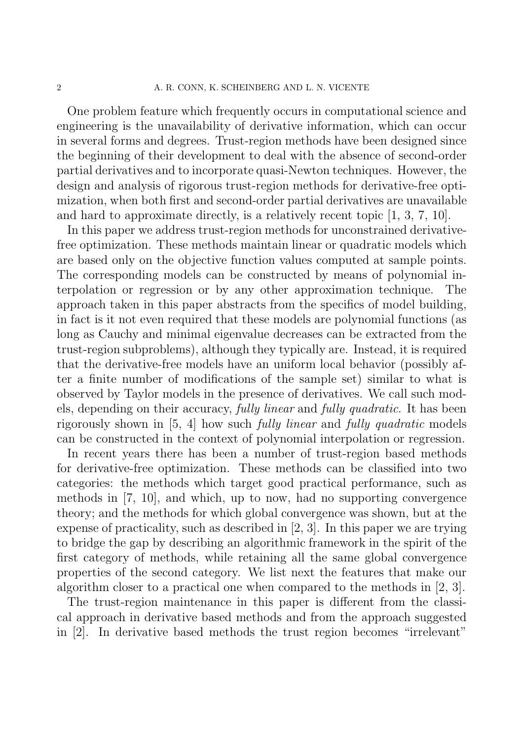One problem feature which frequently occurs in computational science and engineering is the unavailability of derivative information, which can occur in several forms and degrees. Trust-region methods have been designed since the beginning of their development to deal with the absence of second-order partial derivatives and to incorporate quasi-Newton techniques. However, the design and analysis of rigorous trust-region methods for derivative-free optimization, when both first and second-order partial derivatives are unavailable and hard to approximate directly, is a relatively recent topic [1, 3, 7, 10].

In this paper we address trust-region methods for unconstrained derivativefree optimization. These methods maintain linear or quadratic models which are based only on the objective function values computed at sample points. The corresponding models can be constructed by means of polynomial interpolation or regression or by any other approximation technique. The approach taken in this paper abstracts from the specifics of model building, in fact is it not even required that these models are polynomial functions (as long as Cauchy and minimal eigenvalue decreases can be extracted from the trust-region subproblems), although they typically are. Instead, it is required that the derivative-free models have an uniform local behavior (possibly after a finite number of modifications of the sample set) similar to what is observed by Taylor models in the presence of derivatives. We call such models, depending on their accuracy, fully linear and fully quadratic. It has been rigorously shown in [5, 4] how such fully linear and fully quadratic models can be constructed in the context of polynomial interpolation or regression.

In recent years there has been a number of trust-region based methods for derivative-free optimization. These methods can be classified into two categories: the methods which target good practical performance, such as methods in [7, 10], and which, up to now, had no supporting convergence theory; and the methods for which global convergence was shown, but at the expense of practicality, such as described in [2, 3]. In this paper we are trying to bridge the gap by describing an algorithmic framework in the spirit of the first category of methods, while retaining all the same global convergence properties of the second category. We list next the features that make our algorithm closer to a practical one when compared to the methods in [2, 3].

The trust-region maintenance in this paper is different from the classical approach in derivative based methods and from the approach suggested in [2]. In derivative based methods the trust region becomes "irrelevant"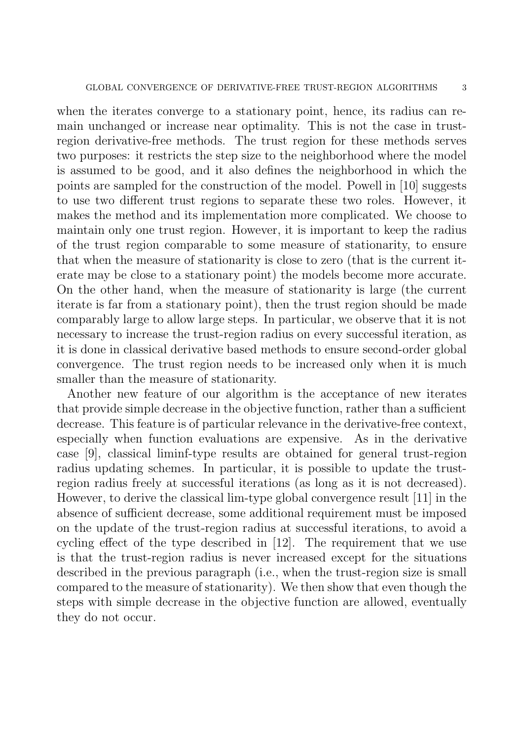when the iterates converge to a stationary point, hence, its radius can remain unchanged or increase near optimality. This is not the case in trustregion derivative-free methods. The trust region for these methods serves two purposes: it restricts the step size to the neighborhood where the model is assumed to be good, and it also defines the neighborhood in which the points are sampled for the construction of the model. Powell in [10] suggests to use two different trust regions to separate these two roles. However, it makes the method and its implementation more complicated. We choose to maintain only one trust region. However, it is important to keep the radius of the trust region comparable to some measure of stationarity, to ensure that when the measure of stationarity is close to zero (that is the current iterate may be close to a stationary point) the models become more accurate. On the other hand, when the measure of stationarity is large (the current iterate is far from a stationary point), then the trust region should be made comparably large to allow large steps. In particular, we observe that it is not necessary to increase the trust-region radius on every successful iteration, as it is done in classical derivative based methods to ensure second-order global convergence. The trust region needs to be increased only when it is much smaller than the measure of stationarity.

Another new feature of our algorithm is the acceptance of new iterates that provide simple decrease in the objective function, rather than a sufficient decrease. This feature is of particular relevance in the derivative-free context, especially when function evaluations are expensive. As in the derivative case [9], classical liminf-type results are obtained for general trust-region radius updating schemes. In particular, it is possible to update the trustregion radius freely at successful iterations (as long as it is not decreased). However, to derive the classical lim-type global convergence result [11] in the absence of sufficient decrease, some additional requirement must be imposed on the update of the trust-region radius at successful iterations, to avoid a cycling effect of the type described in [12]. The requirement that we use is that the trust-region radius is never increased except for the situations described in the previous paragraph (i.e., when the trust-region size is small compared to the measure of stationarity). We then show that even though the steps with simple decrease in the objective function are allowed, eventually they do not occur.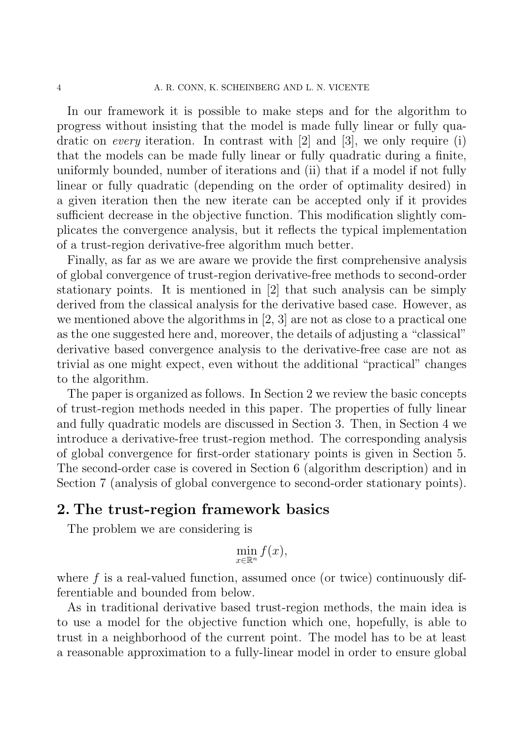In our framework it is possible to make steps and for the algorithm to progress without insisting that the model is made fully linear or fully quadratic on every iteration. In contrast with [2] and [3], we only require (i) that the models can be made fully linear or fully quadratic during a finite, uniformly bounded, number of iterations and (ii) that if a model if not fully linear or fully quadratic (depending on the order of optimality desired) in a given iteration then the new iterate can be accepted only if it provides sufficient decrease in the objective function. This modification slightly complicates the convergence analysis, but it reflects the typical implementation of a trust-region derivative-free algorithm much better.

Finally, as far as we are aware we provide the first comprehensive analysis of global convergence of trust-region derivative-free methods to second-order stationary points. It is mentioned in [2] that such analysis can be simply derived from the classical analysis for the derivative based case. However, as we mentioned above the algorithms in [2, 3] are not as close to a practical one as the one suggested here and, moreover, the details of adjusting a "classical" derivative based convergence analysis to the derivative-free case are not as trivial as one might expect, even without the additional "practical" changes to the algorithm.

The paper is organized as follows. In Section 2 we review the basic concepts of trust-region methods needed in this paper. The properties of fully linear and fully quadratic models are discussed in Section 3. Then, in Section 4 we introduce a derivative-free trust-region method. The corresponding analysis of global convergence for first-order stationary points is given in Section 5. The second-order case is covered in Section 6 (algorithm description) and in Section 7 (analysis of global convergence to second-order stationary points).

### 2. The trust-region framework basics

The problem we are considering is

$$
\min_{x \in \mathbb{R}^n} f(x),
$$

where  $f$  is a real-valued function, assumed once (or twice) continuously differentiable and bounded from below.

As in traditional derivative based trust-region methods, the main idea is to use a model for the objective function which one, hopefully, is able to trust in a neighborhood of the current point. The model has to be at least a reasonable approximation to a fully-linear model in order to ensure global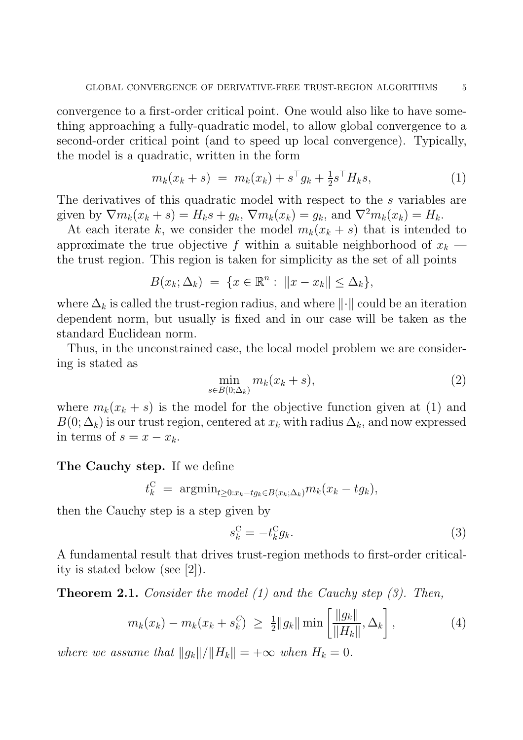convergence to a first-order critical point. One would also like to have something approaching a fully-quadratic model, to allow global convergence to a second-order critical point (and to speed up local convergence). Typically, the model is a quadratic, written in the form

$$
m_k(x_k + s) = m_k(x_k) + s^{\top} g_k + \frac{1}{2} s^{\top} H_k s, \qquad (1)
$$

The derivatives of this quadratic model with respect to the s variables are given by  $\nabla m_k(x_k + s) = H_k s + g_k$ ,  $\nabla m_k(x_k) = g_k$ , and  $\nabla^2 m_k(x_k) = H_k$ .

At each iterate k, we consider the model  $m_k(x_k + s)$  that is intended to approximate the true objective f within a suitable neighborhood of  $x_k$  the trust region. This region is taken for simplicity as the set of all points

$$
B(x_k; \Delta_k) = \{x \in \mathbb{R}^n : ||x - x_k|| \le \Delta_k\},\
$$

where  $\Delta_k$  is called the trust-region radius, and where  $\|\cdot\|$  could be an iteration dependent norm, but usually is fixed and in our case will be taken as the standard Euclidean norm.

Thus, in the unconstrained case, the local model problem we are considering is stated as

$$
\min_{s \in B(0;\Delta_k)} m_k(x_k+s),\tag{2}
$$

where  $m_k(x_k + s)$  is the model for the objective function given at (1) and  $B(0; \Delta_k)$  is our trust region, centered at  $x_k$  with radius  $\Delta_k$ , and now expressed in terms of  $s = x - x_k$ .

### The Cauchy step. If we define

$$
t_k^{\rm C} \ = \ \text{argmin}_{t \geq 0: x_k - t g_k \in B(x_k; \Delta_k)} m_k(x_k - t g_k),
$$

then the Cauchy step is a step given by

$$
s_k^{\mathcal{C}} = -t_k^{\mathcal{C}} g_k. \tag{3}
$$

A fundamental result that drives trust-region methods to first-order criticality is stated below (see [2]).

**Theorem 2.1.** Consider the model  $(1)$  and the Cauchy step  $(3)$ . Then,

$$
m_k(x_k) - m_k(x_k + s_k^C) \ \geq \ \frac{1}{2} \|g_k\| \min\left[\frac{\|g_k\|}{\|H_k\|}, \Delta_k\right],\tag{4}
$$

where we assume that  $||g_k||/||H_k|| = +\infty$  when  $H_k = 0$ .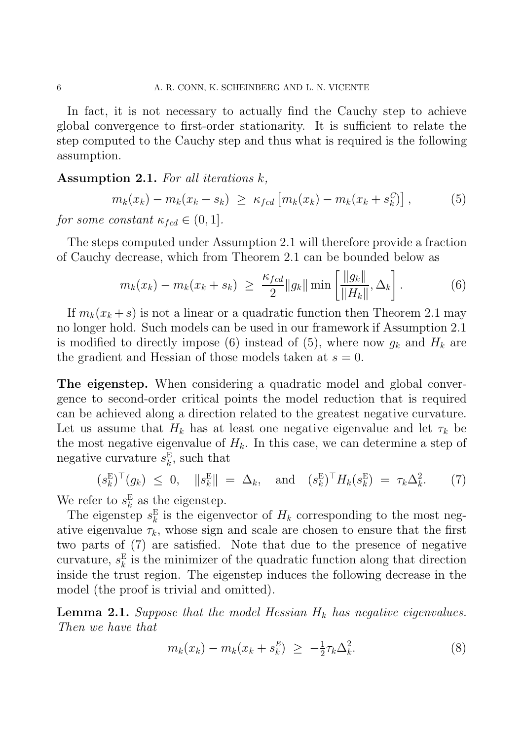In fact, it is not necessary to actually find the Cauchy step to achieve global convergence to first-order stationarity. It is sufficient to relate the step computed to the Cauchy step and thus what is required is the following assumption.

#### Assumption 2.1. For all iterations k,

$$
m_k(x_k) - m_k(x_k + s_k) \ge \kappa_{fcd} [m_k(x_k) - m_k(x_k + s_k^C)], \qquad (5)
$$

for some constant  $\kappa_{\text{fcd}} \in (0,1]$ .

The steps computed under Assumption 2.1 will therefore provide a fraction of Cauchy decrease, which from Theorem 2.1 can be bounded below as

$$
m_k(x_k) - m_k(x_k + s_k) \ \geq \ \frac{\kappa_{fcd}}{2} \|g_k\| \min\left[\frac{\|g_k\|}{\|H_k\|}, \Delta_k\right]. \tag{6}
$$

If  $m_k(x_k + s)$  is not a linear or a quadratic function then Theorem 2.1 may no longer hold. Such models can be used in our framework if Assumption 2.1 is modified to directly impose (6) instead of (5), where now  $g_k$  and  $H_k$  are the gradient and Hessian of those models taken at  $s = 0$ .

The eigenstep. When considering a quadratic model and global convergence to second-order critical points the model reduction that is required can be achieved along a direction related to the greatest negative curvature. Let us assume that  $H_k$  has at least one negative eigenvalue and let  $\tau_k$  be the most negative eigenvalue of  $H_k$ . In this case, we can determine a step of negative curvature  $s_k^{\text{E}}$  $_{k}^{\mathrm{E}},$  such that

$$
(s_k^{\mathcal{E}})^{\top}(g_k) \leq 0, \quad \|s_k^{\mathcal{E}}\| = \Delta_k, \quad \text{and} \quad (s_k^{\mathcal{E}})^{\top} H_k(s_k^{\mathcal{E}}) = \tau_k \Delta_k^2. \tag{7}
$$

We refer to  $s_k^E$  $\frac{E}{k}$  as the eigenstep.

The eigenstep  $s_k^{\text{E}}$  $\frac{E}{k}$  is the eigenvector of  $H_k$  corresponding to the most negative eigenvalue  $\tau_k$ , whose sign and scale are chosen to ensure that the first two parts of (7) are satisfied. Note that due to the presence of negative curvature,  $s_k^{\text{E}}$  $\frac{E}{k}$  is the minimizer of the quadratic function along that direction inside the trust region. The eigenstep induces the following decrease in the model (the proof is trivial and omitted).

**Lemma 2.1.** Suppose that the model Hessian  $H_k$  has negative eigenvalues. Then we have that

$$
m_k(x_k) - m_k(x_k + s_k^E) \ge -\frac{1}{2}\tau_k \Delta_k^2.
$$
 (8)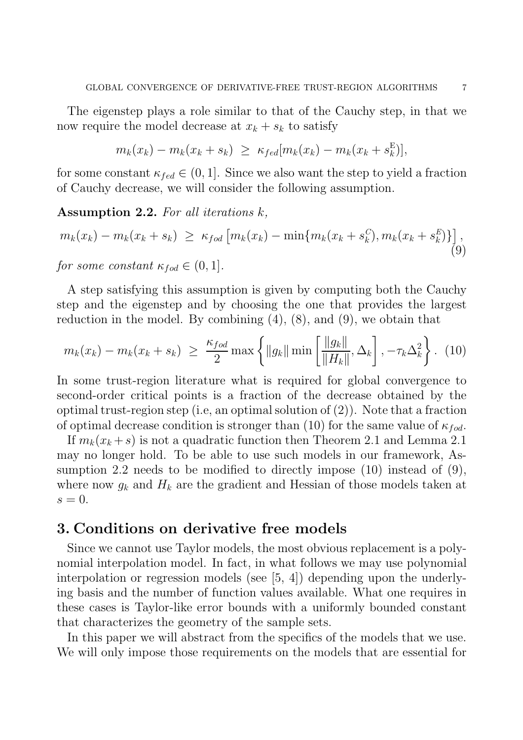The eigenstep plays a role similar to that of the Cauchy step, in that we now require the model decrease at  $x_k + s_k$  to satisfy

$$
m_k(x_k) - m_k(x_k + s_k) \geq \kappa_{fed}[m_k(x_k) - m_k(x_k + s_k^{\mathcal{E}})],
$$

for some constant  $\kappa_{fed} \in (0, 1]$ . Since we also want the step to yield a fraction of Cauchy decrease, we will consider the following assumption.

Assumption 2.2. For all iterations  $k$ ,

$$
m_k(x_k) - m_k(x_k + s_k) \ge \kappa_{fod} \left[ m_k(x_k) - \min\{m_k(x_k + s_k^C), m_k(x_k + s_k^E)\}\right],
$$
\n<sup>(9)</sup>

for some constant  $\kappa_{fod} \in (0,1].$ 

A step satisfying this assumption is given by computing both the Cauchy step and the eigenstep and by choosing the one that provides the largest reduction in the model. By combining  $(4)$ ,  $(8)$ , and  $(9)$ , we obtain that

$$
m_k(x_k) - m_k(x_k + s_k) \ge \frac{\kappa_{fod}}{2} \max \left\{ ||g_k|| \min \left[ \frac{||g_k||}{||H_k||}, \Delta_k \right], -\tau_k \Delta_k^2 \right\}.
$$
 (10)

In some trust-region literature what is required for global convergence to second-order critical points is a fraction of the decrease obtained by the optimal trust-region step (i.e, an optimal solution of (2)). Note that a fraction of optimal decrease condition is stronger than (10) for the same value of  $\kappa_{fod}$ .

If  $m_k(x_k + s)$  is not a quadratic function then Theorem 2.1 and Lemma 2.1 may no longer hold. To be able to use such models in our framework, Assumption 2.2 needs to be modified to directly impose (10) instead of (9), where now  $g_k$  and  $H_k$  are the gradient and Hessian of those models taken at  $s=0.$ 

### 3. Conditions on derivative free models

Since we cannot use Taylor models, the most obvious replacement is a polynomial interpolation model. In fact, in what follows we may use polynomial interpolation or regression models (see [5, 4]) depending upon the underlying basis and the number of function values available. What one requires in these cases is Taylor-like error bounds with a uniformly bounded constant that characterizes the geometry of the sample sets.

In this paper we will abstract from the specifics of the models that we use. We will only impose those requirements on the models that are essential for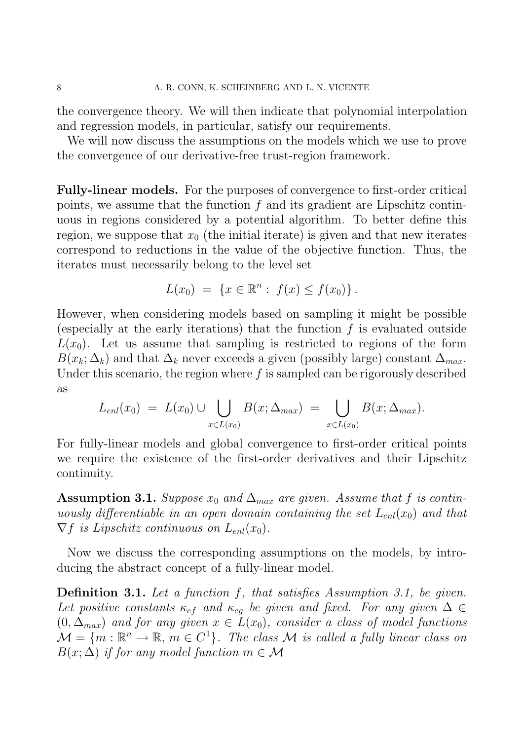the convergence theory. We will then indicate that polynomial interpolation and regression models, in particular, satisfy our requirements.

We will now discuss the assumptions on the models which we use to prove the convergence of our derivative-free trust-region framework.

Fully-linear models. For the purposes of convergence to first-order critical points, we assume that the function  $f$  and its gradient are Lipschitz continuous in regions considered by a potential algorithm. To better define this region, we suppose that  $x_0$  (the initial iterate) is given and that new iterates correspond to reductions in the value of the objective function. Thus, the iterates must necessarily belong to the level set

$$
L(x_0) = \{x \in \mathbb{R}^n : f(x) \le f(x_0)\}.
$$

However, when considering models based on sampling it might be possible (especially at the early iterations) that the function  $f$  is evaluated outside  $L(x_0)$ . Let us assume that sampling is restricted to regions of the form  $B(x_k; \Delta_k)$  and that  $\Delta_k$  never exceeds a given (possibly large) constant  $\Delta_{max}$ . Under this scenario, the region where  $f$  is sampled can be rigorously described as

$$
L_{enl}(x_0) = L(x_0) \cup \bigcup_{x \in L(x_0)} B(x; \Delta_{max}) = \bigcup_{x \in L(x_0)} B(x; \Delta_{max}).
$$

For fully-linear models and global convergence to first-order critical points we require the existence of the first-order derivatives and their Lipschitz continuity.

Assumption 3.1. Suppose  $x_0$  and  $\Delta_{max}$  are given. Assume that f is continuously differentiable in an open domain containing the set  $L_{enl}(x_0)$  and that  $\nabla f$  is Lipschitz continuous on  $L_{enl}(x_0)$ .

Now we discuss the corresponding assumptions on the models, by introducing the abstract concept of a fully-linear model.

Definition 3.1. Let a function f, that satisfies Assumption 3.1, be given. Let positive constants  $\kappa_{ef}$  and  $\kappa_{eg}$  be given and fixed. For any given  $\Delta \in$  $(0, \Delta_{max})$  and for any given  $x \in \tilde{L}(x_0)$ , consider a class of model functions  $\mathcal{M} = \{m : \mathbb{R}^n \to \mathbb{R}, m \in C^1\}$ . The class  $\mathcal M$  is called a fully linear class on  $B(x; \Delta)$  if for any model function  $m \in \mathcal{M}$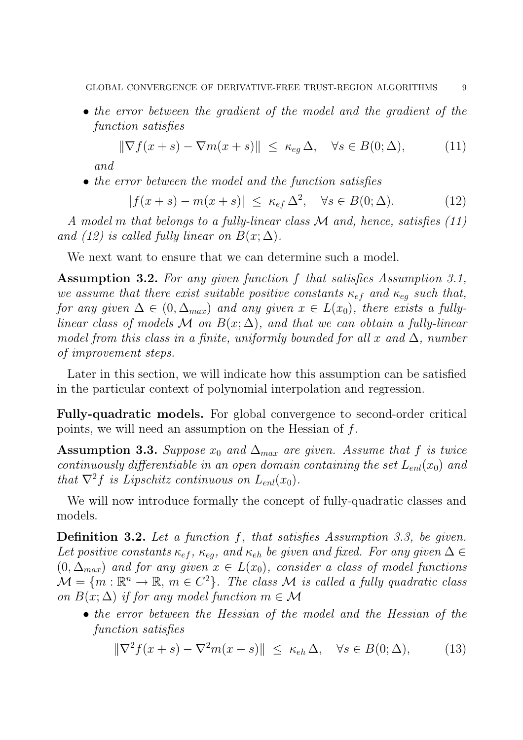• the error between the gradient of the model and the gradient of the function satisfies

$$
\|\nabla f(x+s) - \nabla m(x+s)\| \le \kappa_{eg} \Delta, \quad \forall s \in B(0;\Delta), \tag{11}
$$

and

• the error between the model and the function satisfies

$$
|f(x+s) - m(x+s)| \le \kappa_{ef} \Delta^2, \quad \forall s \in B(0;\Delta). \tag{12}
$$

A model m that belongs to a fully-linear class M and, hence, satisfies (11) and (12) is called fully linear on  $B(x; \Delta)$ .

We next want to ensure that we can determine such a model.

Assumption 3.2. For any given function f that satisfies Assumption 3.1, we assume that there exist suitable positive constants  $\kappa_{ef}$  and  $\kappa_{eq}$  such that, for any given  $\Delta \in (0, \Delta_{max})$  and any given  $x \in L(x_0)$ , there exists a fullylinear class of models M on  $B(x; \Delta)$ , and that we can obtain a fully-linear model from this class in a finite, uniformly bounded for all x and  $\Delta$ , number of improvement steps.

Later in this section, we will indicate how this assumption can be satisfied in the particular context of polynomial interpolation and regression.

Fully-quadratic models. For global convergence to second-order critical points, we will need an assumption on the Hessian of f.

Assumption 3.3. Suppose  $x_0$  and  $\Delta_{max}$  are given. Assume that f is twice continuously differentiable in an open domain containing the set  $L_{enl}(x_0)$  and that  $\nabla^2 f$  is Lipschitz continuous on  $L_{enl}(x_0)$ .

We will now introduce formally the concept of fully-quadratic classes and models.

Definition 3.2. Let a function f, that satisfies Assumption 3.3, be given. Let positive constants  $\kappa_{ef}$ ,  $\kappa_{eq}$ , and  $\kappa_{eh}$  be given and fixed. For any given  $\Delta \in$  $(0, \Delta_{max})$  and for any given  $x \in L(x_0)$ , consider a class of model functions  $\mathcal{M} = \{m : \mathbb{R}^n \to \mathbb{R}, m \in C^2\}$ . The class  $\mathcal M$  is called a fully quadratic class on  $B(x; \Delta)$  if for any model function  $m \in \mathcal{M}$ 

• the error between the Hessian of the model and the Hessian of the function satisfies

$$
\|\nabla^2 f(x+s) - \nabla^2 m(x+s)\| \le \kappa_{eh} \Delta, \quad \forall s \in B(0;\Delta), \tag{13}
$$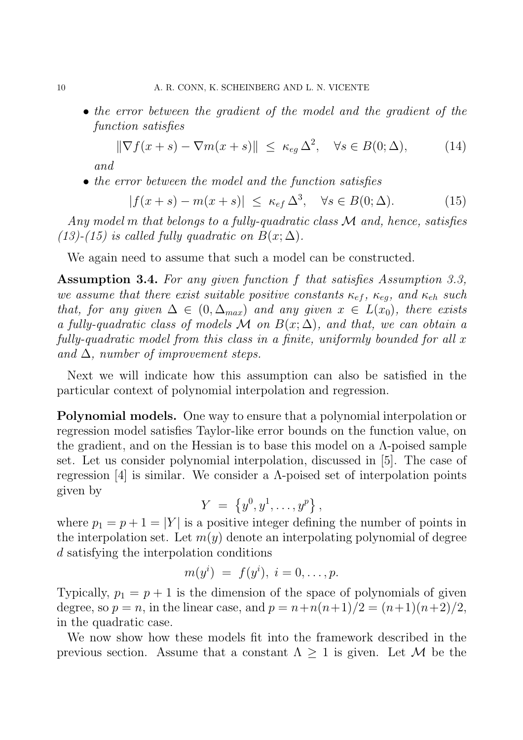• the error between the gradient of the model and the gradient of the function satisfies

$$
\|\nabla f(x+s) - \nabla m(x+s)\| \le \kappa_{eg} \,\Delta^2, \quad \forall s \in B(0;\Delta), \tag{14}
$$

and

• the error between the model and the function satisfies

$$
|f(x+s) - m(x+s)| \le \kappa_{ef} \Delta^3, \quad \forall s \in B(0;\Delta). \tag{15}
$$

Any model m that belongs to a fully-quadratic class M and, hence, satisfies (13)-(15) is called fully quadratic on  $B(x; \Delta)$ .

We again need to assume that such a model can be constructed.

Assumption 3.4. For any given function f that satisfies Assumption 3.3, we assume that there exist suitable positive constants  $\kappa_{ef}$ ,  $\kappa_{eq}$ , and  $\kappa_{eh}$  such that, for any given  $\Delta \in (0, \Delta_{max})$  and any given  $x \in L(x_0)$ , there exists a fully-quadratic class of models M on  $B(x; \Delta)$ , and that, we can obtain a fully-quadratic model from this class in a finite, uniformly bounded for all x and  $\Delta$ , number of improvement steps.

Next we will indicate how this assumption can also be satisfied in the particular context of polynomial interpolation and regression.

Polynomial models. One way to ensure that a polynomial interpolation or regression model satisfies Taylor-like error bounds on the function value, on the gradient, and on the Hessian is to base this model on a  $\Lambda$ -poised sample set. Let us consider polynomial interpolation, discussed in [5]. The case of regression [4] is similar. We consider a  $\Lambda$ -poised set of interpolation points given by

$$
Y = \{y^0, y^1, \ldots, y^p\},\,
$$

where  $p_1 = p + 1 = |Y|$  is a positive integer defining the number of points in the interpolation set. Let  $m(y)$  denote an interpolating polynomial of degree d satisfying the interpolation conditions

$$
m(y^i) = f(y^i), i = 0, \ldots, p.
$$

Typically,  $p_1 = p + 1$  is the dimension of the space of polynomials of given degree, so  $p = n$ , in the linear case, and  $p = n + n(n+1)/2 = (n+1)(n+2)/2$ , in the quadratic case.

We now show how these models fit into the framework described in the previous section. Assume that a constant  $\Lambda \geq 1$  is given. Let M be the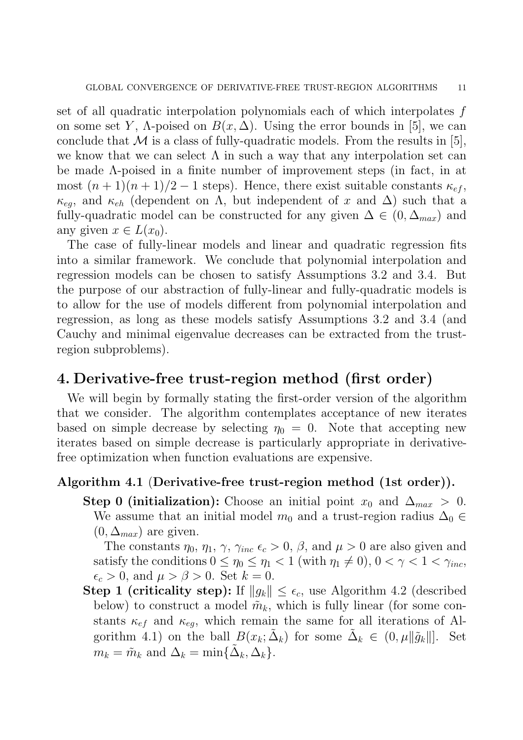set of all quadratic interpolation polynomials each of which interpolates f on some set Y,  $\Lambda$ -poised on  $B(x, \Delta)$ . Using the error bounds in [5], we can conclude that  $\mathcal M$  is a class of fully-quadratic models. From the results in [5], we know that we can select  $\Lambda$  in such a way that any interpolation set can be made Λ-poised in a finite number of improvement steps (in fact, in at most  $(n+1)(n+1)/2-1$  steps). Hence, there exist suitable constants  $\kappa_{ef}$ ,  $\kappa_{eg}$ , and  $\kappa_{eh}$  (dependent on  $\Lambda$ , but independent of x and  $\Delta$ ) such that a fully-quadratic model can be constructed for any given  $\Delta \in (0, \Delta_{max})$  and any given  $x \in L(x_0)$ .

The case of fully-linear models and linear and quadratic regression fits into a similar framework. We conclude that polynomial interpolation and regression models can be chosen to satisfy Assumptions 3.2 and 3.4. But the purpose of our abstraction of fully-linear and fully-quadratic models is to allow for the use of models different from polynomial interpolation and regression, as long as these models satisfy Assumptions 3.2 and 3.4 (and Cauchy and minimal eigenvalue decreases can be extracted from the trustregion subproblems).

## 4. Derivative-free trust-region method (first order)

We will begin by formally stating the first-order version of the algorithm that we consider. The algorithm contemplates acceptance of new iterates based on simple decrease by selecting  $\eta_0 = 0$ . Note that accepting new iterates based on simple decrease is particularly appropriate in derivativefree optimization when function evaluations are expensive.

### Algorithm 4.1 (Derivative-free trust-region method (1st order)).

Step 0 (initialization): Choose an initial point  $x_0$  and  $\Delta_{max} > 0$ . We assume that an initial model  $m_0$  and a trust-region radius  $\Delta_0 \in$  $(0, \Delta_{max})$  are given.

The constants  $\eta_0$ ,  $\eta_1$ ,  $\gamma$ ,  $\gamma_{inc} \epsilon_c > 0$ ,  $\beta$ , and  $\mu > 0$  are also given and satisfy the conditions  $0 \leq \eta_0 \leq \eta_1 < 1$  (with  $\eta_1 \neq 0$ ),  $0 < \gamma < 1 < \gamma_{inc}$ ,  $\epsilon_c > 0$ , and  $\mu > \beta > 0$ . Set  $k = 0$ .

Step 1 (criticality step): If  $||g_k|| \leq \epsilon_c$ , use Algorithm 4.2 (described below) to construct a model  $\tilde{m}_k$ , which is fully linear (for some constants  $\kappa_{ef}$  and  $\kappa_{eq}$ , which remain the same for all iterations of Algorithm 4.1) on the ball  $B(x_k; \tilde{\Delta}_k)$  for some  $\tilde{\Delta}_k \in (0, \mu \|\tilde{g}_k\|]$ . Set  $m_k = \tilde{m}_k$  and  $\Delta_k = \min{\{\tilde{\Delta}_k, \Delta_k\}}$ .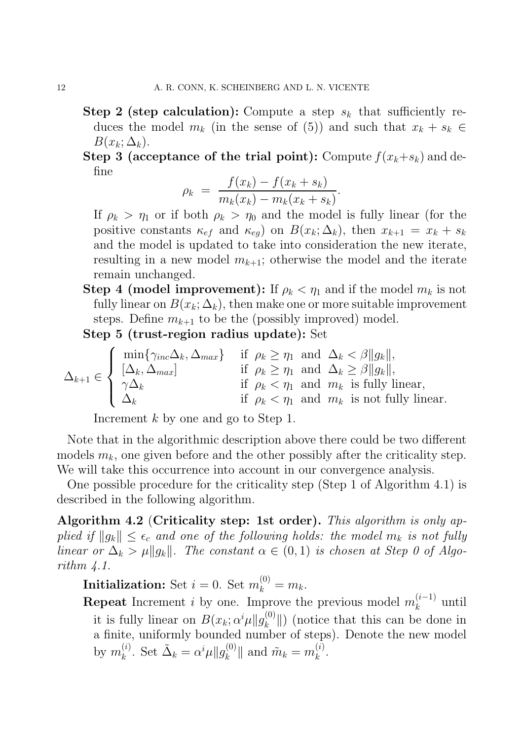- Step 2 (step calculation): Compute a step  $s_k$  that sufficiently reduces the model  $m_k$  (in the sense of (5)) and such that  $x_k + s_k \in$  $B(x_k; \Delta_k)$ .
- Step 3 (acceptance of the trial point): Compute  $f(x_k+s_k)$  and define

$$
\rho_k = \frac{f(x_k) - f(x_k + s_k)}{m_k(x_k) - m_k(x_k + s_k)}.
$$

If  $\rho_k > \eta_1$  or if both  $\rho_k > \eta_0$  and the model is fully linear (for the positive constants  $\kappa_{ef}$  and  $\kappa_{eg}$  on  $B(x_k; \Delta_k)$ , then  $x_{k+1} = x_k + s_k$ and the model is updated to take into consideration the new iterate, resulting in a new model  $m_{k+1}$ ; otherwise the model and the iterate remain unchanged.

**Step 4 (model improvement):** If  $\rho_k < \eta_1$  and if the model  $m_k$  is not fully linear on  $B(x_k; \Delta_k)$ , then make one or more suitable improvement steps. Define  $m_{k+1}$  to be the (possibly improved) model.

Step 5 (trust-region radius update): Set

$$
\Delta_{k+1} \in \begin{cases}\n\min\{\gamma_{inc}\Delta_k, \Delta_{max}\} & \text{if } \rho_k \ge \eta_1 \text{ and } \Delta_k < \beta \|g_k\|, \\
[\Delta_k, \Delta_{max}] & \text{if } \rho_k \ge \eta_1 \text{ and } \Delta_k \ge \beta \|g_k\|, \\
\gamma \Delta_k & \text{if } \rho_k < \eta_1 \text{ and } m_k \text{ is fully linear,} \\
\Delta_k & \text{if } \rho_k < \eta_1 \text{ and } m_k \text{ is not fully linear.}\n\end{cases}
$$

Increment k by one and go to Step 1.

Note that in the algorithmic description above there could be two different models  $m_k$ , one given before and the other possibly after the criticality step. We will take this occurrence into account in our convergence analysis.

One possible procedure for the criticality step (Step 1 of Algorithm 4.1) is described in the following algorithm.

Algorithm 4.2 (Criticality step: 1st order). This algorithm is only applied if  $||g_k|| \leq \epsilon_c$  and one of the following holds: the model  $m_k$  is not fully linear or  $\Delta_k > \mu \|g_k\|$ . The constant  $\alpha \in (0,1)$  is chosen at Step 0 of Algorithm  $\ddagger$ .1.

**Initialization:** Set  $i = 0$ . Set  $m_k^{(0)} = m_k$ .

**Repeat** Increment *i* by one. Improve the previous model  $m_k^{(i-1)}$  $\int_k^{(i-1)}$  until it is fully linear on  $B(x_k; \alpha^i \mu \| g_k^{(0)})$  $\binom{[0]}{k}$  (notice that this can be done in a finite, uniformly bounded number of steps). Denote the new model by  $m_k^{(i)}$ <sup>(i)</sup>. Set  $\tilde{\Delta}_k = \alpha^i \mu || g_k^{(0)}$  $_{k}^{(0)}$  || and  $\tilde{m}_{k} = m_{k}^{(i)}$  $\frac{u}{k}$ .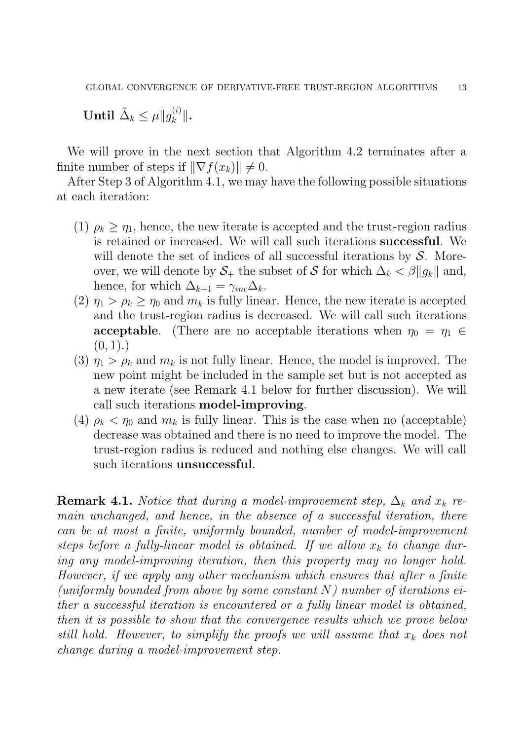Until  $\tilde{\Delta}_k \leq \mu \| g_k^{(i)}$  $\left\| \frac{u}{k} \right\|$ .

We will prove in the next section that Algorithm 4.2 terminates after a finite number of steps if  $\|\nabla f(x_k)\| \neq 0$ .

After Step 3 of Algorithm 4.1, we may have the following possible situations at each iteration:

- (1)  $\rho_k \geq \eta_1$ , hence, the new iterate is accepted and the trust-region radius is retained or increased. We will call such iterations successful. We will denote the set of indices of all successful iterations by  $S$ . Moreover, we will denote by  $S_+$  the subset of S for which  $\Delta_k < \beta ||g_k||$  and, hence, for which  $\Delta_{k+1} = \gamma_{inc} \Delta_k$ .
- (2)  $\eta_1 > \rho_k \geq \eta_0$  and  $m_k$  is fully linear. Hence, the new iterate is accepted and the trust-region radius is decreased. We will call such iterations **acceptable.** (There are no acceptable iterations when  $\eta_0 = \eta_1 \in$  $(0, 1).$
- (3)  $\eta_1 > \rho_k$  and  $m_k$  is not fully linear. Hence, the model is improved. The new point might be included in the sample set but is not accepted as a new iterate (see Remark 4.1 below for further discussion). We will call such iterations model-improving.
- (4)  $\rho_k < \eta_0$  and  $m_k$  is fully linear. This is the case when no (acceptable) decrease was obtained and there is no need to improve the model. The trust-region radius is reduced and nothing else changes. We will call such iterations unsuccessful.

**Remark 4.1.** Notice that during a model-improvement step,  $\Delta_k$  and  $x_k$  remain unchanged, and hence, in the absence of a successful iteration, there can be at most a finite, uniformly bounded, number of model-improvement steps before a fully-linear model is obtained. If we allow  $x_k$  to change during any model-improving iteration, then this property may no longer hold. However, if we apply any other mechanism which ensures that after a finite (uniformly bounded from above by some constant  $N$ ) number of iterations either a successful iteration is encountered or a fully linear model is obtained, then it is possible to show that the convergence results which we prove below still hold. However, to simplify the proofs we will assume that  $x_k$  does not change during a model-improvement step.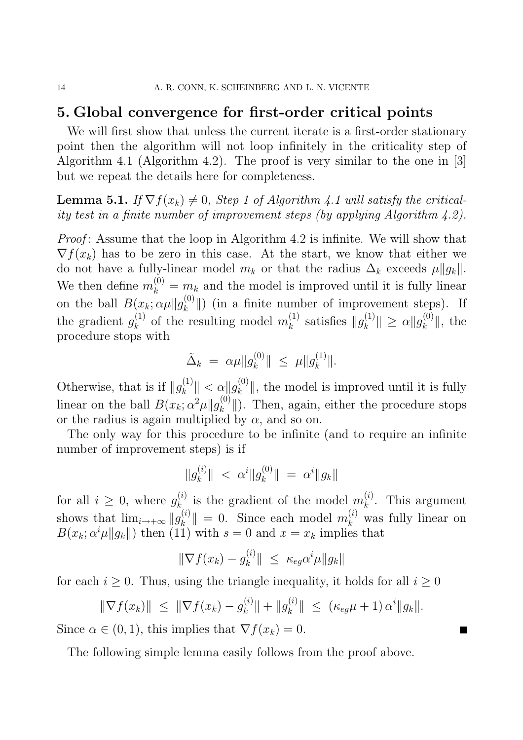# 5. Global convergence for first-order critical points

We will first show that unless the current iterate is a first-order stationary point then the algorithm will not loop infinitely in the criticality step of Algorithm 4.1 (Algorithm 4.2). The proof is very similar to the one in [3] but we repeat the details here for completeness.

**Lemma 5.1.** If  $\nabla f(x_k) \neq 0$ , Step 1 of Algorithm 4.1 will satisfy the criticality test in a finite number of improvement steps (by applying Algorithm 4.2).

Proof: Assume that the loop in Algorithm 4.2 is infinite. We will show that  $\nabla f(x_k)$  has to be zero in this case. At the start, we know that either we do not have a fully-linear model  $m_k$  or that the radius  $\Delta_k$  exceeds  $\mu||g_k||$ . We then define  $m_k^{(0)} = m_k$  and the model is improved until it is fully linear on the ball  $B(x_k; \alpha \mu \| g_k^{(0)})$  $\binom{[0]}{k}$  (in a finite number of improvement steps). If the gradient  $g_k^{(1)}$  $\binom{1}{k}$  of the resulting model  $m_k^{(1)}$  $\binom{1}{k}$  satisfies  $||g_k^{(1)}||$  $\|k^{(1)}\| \geq \alpha \|g_k^{(0)}\|$  $\|k^{\left(\mathsf{U}\right)}\|$ , the procedure stops with

$$
\tilde{\Delta}_k = \alpha \mu \|g_k^{(0)}\| \le \mu \|g_k^{(1)}\|.
$$

Otherwise, that is if  $||g_k^{(1)}||$  $\|k^{(1)}\| < \alpha \|g_k^{(0)}$  $\|k_{k}^{(0)}\|$ , the model is improved until it is fully linear on the ball  $B(x_k; \alpha^2 \mu || g_k^{(0)})$  $\mathbb{E}_{k}^{(0)}$ . Then, again, either the procedure stops or the radius is again multiplied by  $\alpha$ , and so on.

The only way for this procedure to be infinite (and to require an infinite number of improvement steps) is if

$$
\|g_k^{(i)}\| < \alpha^i \|g_k^{(0)}\| = \alpha^i \|g_k\|
$$

for all  $i \geq 0$ , where  $g_{k}^{(i)}$  $\mathbf{E}_{k_{i}}^{(i)}$  is the gradient of the model  $m_k^{(i)}$  $\kappa^{(i)}$ . This argument shows that  $\lim_{i\to+\infty} \|g_k^{(i)}\|$  $\|k\| = 0$ . Since each model  $m_k^{(i)}$  was fully linear on  $B(x_k; \alpha^i \mu \|g_k\|)$  then (11) with  $s = 0$  and  $x = x_k$  implies that

$$
\|\nabla f(x_k) - g_k^{(i)}\| \leq \kappa_{eg} \alpha^i \mu \|g_k\|
$$

for each  $i \geq 0$ . Thus, using the triangle inequality, it holds for all  $i \geq 0$ 

$$
\|\nabla f(x_k)\| \leq \|\nabla f(x_k) - g_k^{(i)}\| + \|g_k^{(i)}\| \leq (\kappa_{eg}\mu + 1) \alpha^i \|g_k\|.
$$

П

Since  $\alpha \in (0,1)$ , this implies that  $\nabla f(x_k) = 0$ .

The following simple lemma easily follows from the proof above.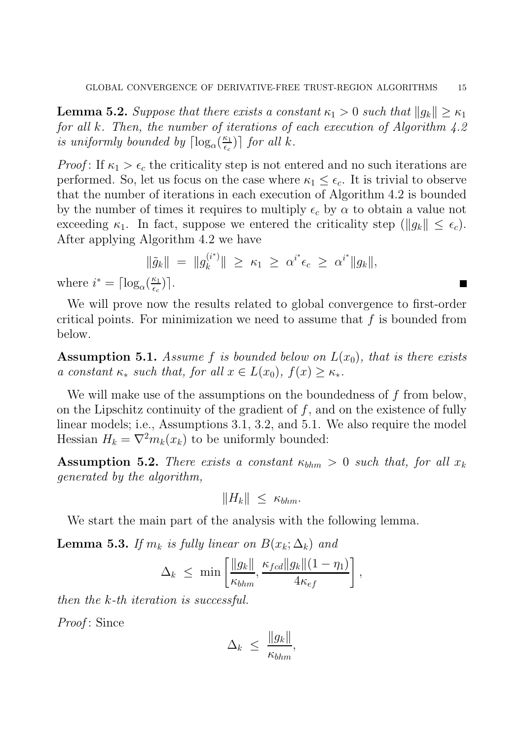**Lemma 5.2.** Suppose that there exists a constant  $\kappa_1 > 0$  such that  $||g_k|| \geq \kappa_1$ for all k. Then, the number of iterations of each execution of Algorithm 4.2 is uniformly bounded by  $\lceil \log_{\alpha}(\frac{\kappa_1}{\epsilon_c}) \rceil$  $\left[\frac{\kappa_1}{\epsilon_c}\right]$  for all k.

*Proof*: If  $\kappa_1 > \epsilon_c$  the criticality step is not entered and no such iterations are performed. So, let us focus on the case where  $\kappa_1 \leq \epsilon_c$ . It is trivial to observe that the number of iterations in each execution of Algorithm 4.2 is bounded by the number of times it requires to multiply  $\epsilon_c$  by  $\alpha$  to obtain a value not exceeding  $\kappa_1$ . In fact, suppose we entered the criticality step  $(\|g_k\| \leq \epsilon_c)$ . After applying Algorithm 4.2 we have

$$
\|\tilde{g}_k\| = \|g_k^{(i^*)}\| \ge \kappa_1 \ge \alpha^{i^*} \epsilon_c \ge \alpha^{i^*} \|g_k\|,
$$
  

$$
\left(\frac{\kappa_1}{2}\right).
$$

 $\blacksquare$ 

where  $i^* = \lceil \log_{\alpha} \left( \frac{\kappa_1}{\epsilon_c} \right) \rceil$  $\frac{\kappa_1}{\epsilon_c}\big)\big].$ 

We will prove now the results related to global convergence to first-order critical points. For minimization we need to assume that  $f$  is bounded from below.

**Assumption 5.1.** Assume f is bounded below on  $L(x_0)$ , that is there exists a constant  $\kappa_*$  such that, for all  $x \in L(x_0)$ ,  $f(x) \geq \kappa_*$ .

We will make use of the assumptions on the boundedness of f from below, on the Lipschitz continuity of the gradient of  $f$ , and on the existence of fully linear models; i.e., Assumptions 3.1, 3.2, and 5.1. We also require the model Hessian  $H_k = \nabla^2 m_k(x_k)$  to be uniformly bounded:

**Assumption 5.2.** There exists a constant  $\kappa_{bhm} > 0$  such that, for all  $x_k$ generated by the algorithm,

$$
||H_k|| \leq \kappa_{bhm}.
$$

We start the main part of the analysis with the following lemma.

**Lemma 5.3.** If  $m_k$  is fully linear on  $B(x_k; \Delta_k)$  and

$$
\Delta_k \leq \min\left[\frac{\|g_k\|}{\kappa_{bhm}}, \frac{\kappa_{fcd} \|g_k\|(1-\eta_1)}{4\kappa_{ef}}\right],
$$

then the k-th iteration is successful.

Proof: Since

$$
\Delta_k \leq \frac{\|g_k\|}{\kappa_{bhm}},
$$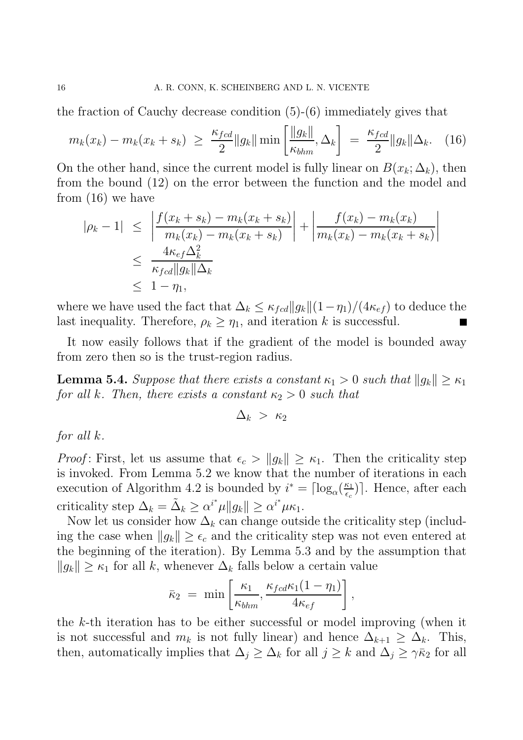the fraction of Cauchy decrease condition (5)-(6) immediately gives that

$$
m_k(x_k) - m_k(x_k + s_k) \ge \frac{\kappa_{fcd}}{2} \|g_k\| \min\left[\frac{\|g_k\|}{\kappa_{bhm}}, \Delta_k\right] = \frac{\kappa_{fcd}}{2} \|g_k\| \Delta_k. \quad (16)
$$

On the other hand, since the current model is fully linear on  $B(x_k; \Delta_k)$ , then from the bound (12) on the error between the function and the model and from (16) we have

$$
|\rho_k - 1| \leq \left| \frac{f(x_k + s_k) - m_k(x_k + s_k)}{m_k(x_k) - m_k(x_k + s_k)} \right| + \left| \frac{f(x_k) - m_k(x_k)}{m_k(x_k) - m_k(x_k + s_k)} \right|
$$
  

$$
\leq \frac{4\kappa_{ef}\Delta_k^2}{\kappa_{fcd} \|g_k\|\Delta_k}
$$
  

$$
\leq 1 - \eta_1,
$$

where we have used the fact that  $\Delta_k \leq \kappa_{fcd} ||g_k|| (1 - \eta_1)/(4 \kappa_{ef})$  to deduce the last inequality. Therefore,  $\rho_k \geq \eta_1$ , and iteration k is successful.

It now easily follows that if the gradient of the model is bounded away from zero then so is the trust-region radius.

**Lemma 5.4.** Suppose that there exists a constant  $\kappa_1 > 0$  such that  $||g_k|| \geq \kappa_1$ for all k. Then, there exists a constant  $\kappa_2 > 0$  such that

$$
\Delta_k~>~\kappa_2
$$

for all k.

*Proof*: First, let us assume that  $\epsilon_c > ||g_k|| \geq \kappa_1$ . Then the criticality step is invoked. From Lemma 5.2 we know that the number of iterations in each execution of Algorithm 4.2 is bounded by  $i^* = \lceil \log_{\alpha}(\frac{\kappa_1}{\epsilon_c}) \rceil$  $\frac{\kappa_1}{\epsilon_c}$ ]. Hence, after each criticality step  $\Delta_k = \tilde{\Delta}_k \geq \alpha^{i^*} \mu \|g_k\| \geq \alpha^{i^*} \mu \kappa_1.$ 

Now let us consider how  $\Delta_k$  can change outside the criticality step (including the case when  $||g_k|| \geq \epsilon_c$  and the criticality step was not even entered at the beginning of the iteration). By Lemma 5.3 and by the assumption that  $||g_k|| \geq \kappa_1$  for all k, whenever  $\Delta_k$  falls below a certain value

$$
\bar{\kappa}_2 = \min\left[\frac{\kappa_1}{\kappa_{bhm}}, \frac{\kappa_{fcd}\kappa_1(1-\eta_1)}{4\kappa_{ef}}\right],
$$

the k-th iteration has to be either successful or model improving (when it is not successful and  $m_k$  is not fully linear) and hence  $\Delta_{k+1} \geq \Delta_k$ . This, then, automatically implies that  $\Delta_j \geq \Delta_k$  for all  $j \geq k$  and  $\Delta_j \geq \gamma \bar{\kappa}_2$  for all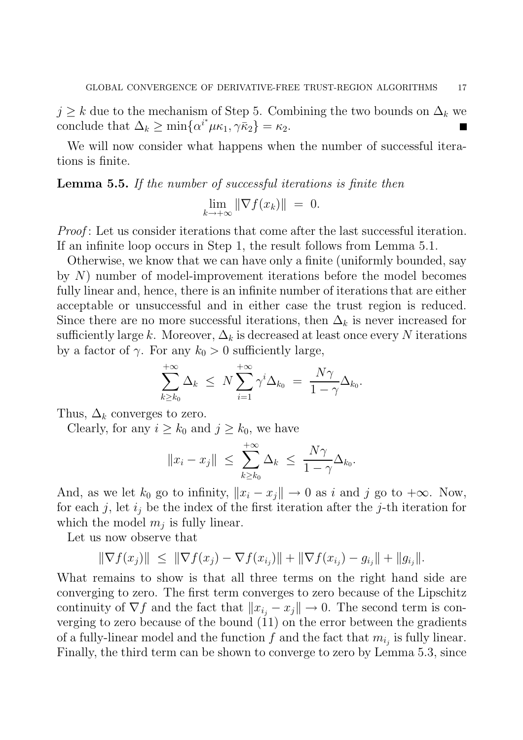$j \geq k$  due to the mechanism of Step 5. Combining the two bounds on  $\Delta_k$  we conclude that  $\Delta_k \geq \min\{\alpha^{i^*}\mu\kappa_1, \gamma\bar{\kappa}_2\} = \kappa_2.$ 

We will now consider what happens when the number of successful iterations is finite.

Lemma 5.5. If the number of successful iterations is finite then

$$
\lim_{k \to +\infty} \|\nabla f(x_k)\| = 0.
$$

Proof: Let us consider iterations that come after the last successful iteration. If an infinite loop occurs in Step 1, the result follows from Lemma 5.1.

Otherwise, we know that we can have only a finite (uniformly bounded, say by N) number of model-improvement iterations before the model becomes fully linear and, hence, there is an infinite number of iterations that are either acceptable or unsuccessful and in either case the trust region is reduced. Since there are no more successful iterations, then  $\Delta_k$  is never increased for sufficiently large k. Moreover,  $\Delta_k$  is decreased at least once every N iterations by a factor of  $\gamma$ . For any  $k_0 > 0$  sufficiently large,

$$
\sum_{k\geq k_0}^{+\infty} \Delta_k \leq N \sum_{i=1}^{+\infty} \gamma^i \Delta_{k_0} = \frac{N\gamma}{1-\gamma} \Delta_{k_0}.
$$

Thus,  $\Delta_k$  converges to zero.

Clearly, for any  $i \geq k_0$  and  $j \geq k_0$ , we have

$$
||x_i - x_j|| \leq \sum_{k \geq k_0}^{+\infty} \Delta_k \leq \frac{N\gamma}{1 - \gamma} \Delta_{k_0}.
$$

And, as we let  $k_0$  go to infinity,  $||x_i - x_j|| \to 0$  as i and j go to  $+\infty$ . Now, for each j, let  $i_j$  be the index of the first iteration after the j-th iteration for which the model  $m_j$  is fully linear.

Let us now observe that

$$
\|\nabla f(x_j)\| \leq \|\nabla f(x_j) - \nabla f(x_{i_j})\| + \|\nabla f(x_{i_j}) - g_{i_j}\| + \|g_{i_j}\|.
$$

What remains to show is that all three terms on the right hand side are converging to zero. The first term converges to zero because of the Lipschitz continuity of  $\nabla f$  and the fact that  $||x_{i_i} - x_j|| \to 0$ . The second term is converging to zero because of the bound (11) on the error between the gradients of a fully-linear model and the function  $f$  and the fact that  $m_{i_j}$  is fully linear. Finally, the third term can be shown to converge to zero by Lemma 5.3, since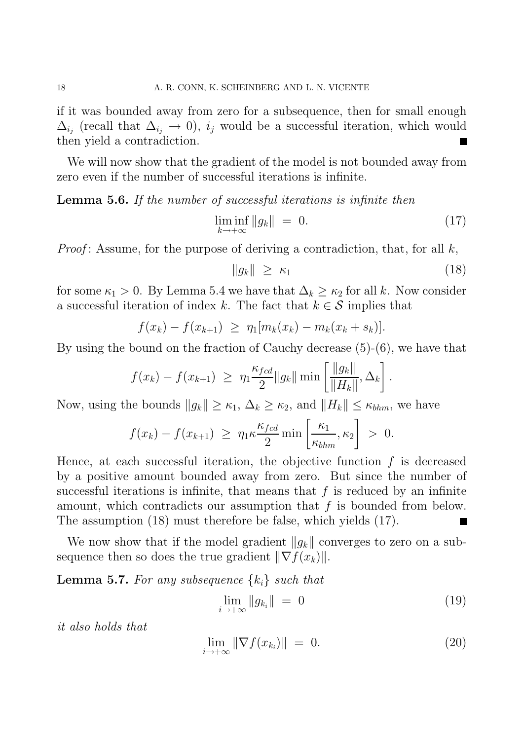if it was bounded away from zero for a subsequence, then for small enough  $\Delta_{i_j}$  (recall that  $\Delta_{i_j} \to 0$ ),  $i_j$  would be a successful iteration, which would then yield a contradiction.

We will now show that the gradient of the model is not bounded away from zero even if the number of successful iterations is infinite.

Lemma 5.6. If the number of successful iterations is infinite then

$$
\liminf_{k \to +\infty} \|g_k\| = 0. \tag{17}
$$

*Proof*: Assume, for the purpose of deriving a contradiction, that, for all  $k$ ,

$$
||g_k|| \ge \kappa_1 \tag{18}
$$

for some  $\kappa_1 > 0$ . By Lemma 5.4 we have that  $\Delta_k \geq \kappa_2$  for all k. Now consider a successful iteration of index k. The fact that  $k \in \mathcal{S}$  implies that

$$
f(x_k) - f(x_{k+1}) \geq \eta_1[m_k(x_k) - m_k(x_k + s_k)].
$$

By using the bound on the fraction of Cauchy decrease (5)-(6), we have that

$$
f(x_k) - f(x_{k+1}) \ge \eta_1 \frac{\kappa_{fcd}}{2} ||g_k|| \min \left[ \frac{||g_k||}{||H_k||}, \Delta_k \right].
$$

Now, using the bounds  $||g_k|| \geq \kappa_1$ ,  $\Delta_k \geq \kappa_2$ , and  $||H_k|| \leq \kappa_{bhm}$ , we have

$$
f(x_k) - f(x_{k+1}) \geq \eta_1 \kappa \frac{\kappa_{fcd}}{2} \min \left[ \frac{\kappa_1}{\kappa_{bhm}}, \kappa_2 \right] > 0.
$$

Hence, at each successful iteration, the objective function  $f$  is decreased by a positive amount bounded away from zero. But since the number of successful iterations is infinite, that means that  $f$  is reduced by an infinite amount, which contradicts our assumption that  $f$  is bounded from below. The assumption (18) must therefore be false, which yields (17).

We now show that if the model gradient  $||g_k||$  converges to zero on a subsequence then so does the true gradient  $\|\nabla f(x_k)\|$ .

**Lemma 5.7.** For any subsequence  $\{k_i\}$  such that

$$
\lim_{i \to +\infty} \|g_{k_i}\| = 0 \tag{19}
$$

it also holds that

$$
\lim_{i \to +\infty} \|\nabla f(x_{k_i})\| = 0. \tag{20}
$$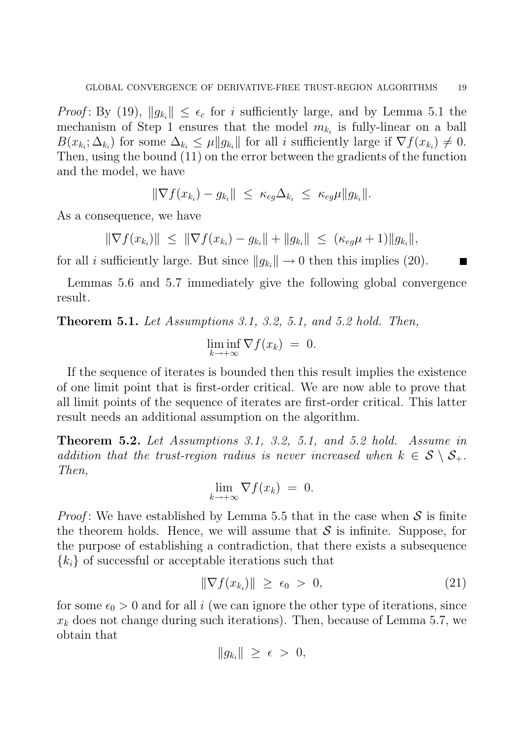*Proof*: By (19),  $||g_{k_i}|| \leq \epsilon_c$  for i sufficiently large, and by Lemma 5.1 the mechanism of Step 1 ensures that the model  $m_{k_i}$  is fully-linear on a ball  $B(x_{k_i}; \Delta_{k_i})$  for some  $\Delta_{k_i} \leq \mu \|g_{k_i}\|$  for all i sufficiently large if  $\nabla f(x_{k_i}) \neq 0$ . Then, using the bound (11) on the error between the gradients of the function and the model, we have

 $\|\nabla f(x_{k_i}) - g_{k_i}\| \leq \kappa_{eg} \Delta_{k_i} \leq \kappa_{eg} \mu \|g_{k_i}\|.$ 

As a consequence, we have

 $\|\nabla f(x_{k_i})\| \leq \|\nabla f(x_{k_i}) - g_{k_i}\| + \|g_{k_i}\| \leq (\kappa_{eg}\mu + 1)\|g_{k_i}\|,$ 

for all *i* sufficiently large. But since  $||g_{k_i}|| \to 0$  then this implies (20).

Lemmas 5.6 and 5.7 immediately give the following global convergence result.

Theorem 5.1. Let Assumptions 3.1, 3.2, 5.1, and 5.2 hold. Then,

$$
\liminf_{k \to +\infty} \nabla f(x_k) = 0.
$$

If the sequence of iterates is bounded then this result implies the existence of one limit point that is first-order critical. We are now able to prove that all limit points of the sequence of iterates are first-order critical. This latter result needs an additional assumption on the algorithm.

Theorem 5.2. Let Assumptions 3.1, 3.2, 5.1, and 5.2 hold. Assume in addition that the trust-region radius is never increased when  $k \in S \setminus S_+$ . Then,

$$
\lim_{k \to +\infty} \nabla f(x_k) = 0.
$$

*Proof*: We have established by Lemma 5.5 that in the case when  $S$  is finite the theorem holds. Hence, we will assume that  $\mathcal S$  is infinite. Suppose, for the purpose of establishing a contradiction, that there exists a subsequence  ${k_i}$  of successful or acceptable iterations such that

$$
\|\nabla f(x_{k_i})\| \ge \epsilon_0 > 0, \tag{21}
$$

for some  $\epsilon_0 > 0$  and for all i (we can ignore the other type of iterations, since  $x_k$  does not change during such iterations). Then, because of Lemma 5.7, we obtain that

$$
||g_{k_i}|| \geq \epsilon > 0,
$$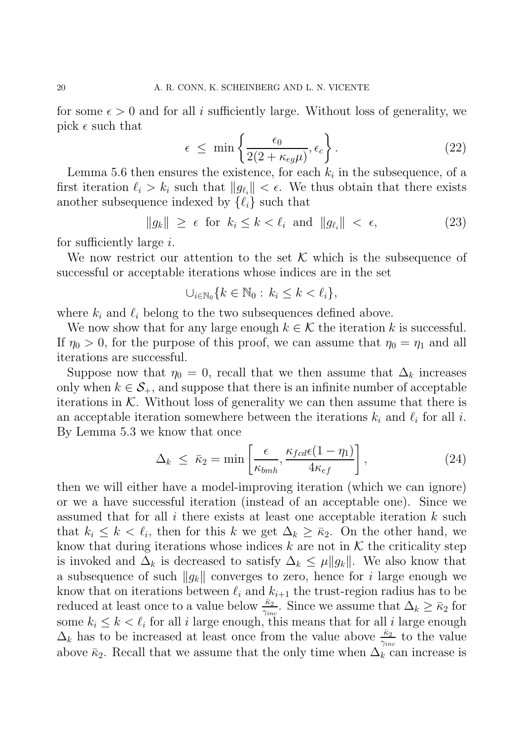for some  $\epsilon > 0$  and for all i sufficiently large. Without loss of generality, we pick  $\epsilon$  such that

$$
\epsilon \leq \min\left\{\frac{\epsilon_0}{2(2 + \kappa_{eg}\mu)}, \epsilon_c\right\}.
$$
\n(22)

Lemma 5.6 then ensures the existence, for each  $k_i$  in the subsequence, of a first iteration  $\ell_i > k_i$  such that  $||g_{\ell_i}|| < \epsilon$ . We thus obtain that there exists another subsequence indexed by  $\{\ell_i\}$  such that

$$
\|g_k\| \ge \epsilon \text{ for } k_i \le k < \ell_i \text{ and } \|g_{\ell_i}\| < \epsilon,\tag{23}
$$

for sufficiently large  $i$ .

We now restrict our attention to the set  $\mathcal K$  which is the subsequence of successful or acceptable iterations whose indices are in the set

$$
\cup_{i\in\mathbb{N}_0}\{k\in\mathbb{N}_0:\,k_i\leq k<\ell_i\},\
$$

where  $k_i$  and  $\ell_i$  belong to the two subsequences defined above.

We now show that for any large enough  $k \in \mathcal{K}$  the iteration k is successful. If  $\eta_0 > 0$ , for the purpose of this proof, we can assume that  $\eta_0 = \eta_1$  and all iterations are successful.

Suppose now that  $\eta_0 = 0$ , recall that we then assume that  $\Delta_k$  increases only when  $k \in \mathcal{S}_+$ , and suppose that there is an infinite number of acceptable iterations in  $K$ . Without loss of generality we can then assume that there is an acceptable iteration somewhere between the iterations  $k_i$  and  $\ell_i$  for all i. By Lemma 5.3 we know that once

$$
\Delta_k \leq \bar{\kappa}_2 = \min\left[\frac{\epsilon}{\kappa_{bmh}}, \frac{\kappa_{fcd}\epsilon(1-\eta_1)}{4\kappa_{ef}}\right],\tag{24}
$$

then we will either have a model-improving iteration (which we can ignore) or we a have successful iteration (instead of an acceptable one). Since we assumed that for all  $i$  there exists at least one acceptable iteration  $k$  such that  $k_i \leq k \leq \ell_i$ , then for this k we get  $\Delta_k \geq \bar{\kappa}_2$ . On the other hand, we know that during iterations whose indices  $k$  are not in  $K$  the criticality step is invoked and  $\Delta_k$  is decreased to satisfy  $\Delta_k \leq \mu \|g_k\|$ . We also know that a subsequence of such  $||g_k||$  converges to zero, hence for i large enough we know that on iterations between  $\ell_i$  and  $k_{i+1}$  the trust-region radius has to be reduced at least once to a value below  $\frac{\bar{\kappa}_2}{\gamma_{inc}}$ . Since we assume that  $\Delta_k \ge \bar{\kappa}_2$  for some  $k_i \leq k < \ell_i$  for all i large enough, this means that for all i large enough  $\Delta_k$  has to be increased at least once from the value above  $\frac{\bar{\kappa}_2}{\gamma_{inc}}$  to the value above  $\bar{\kappa}_2$ . Recall that we assume that the only time when  $\Delta_k$  can increase is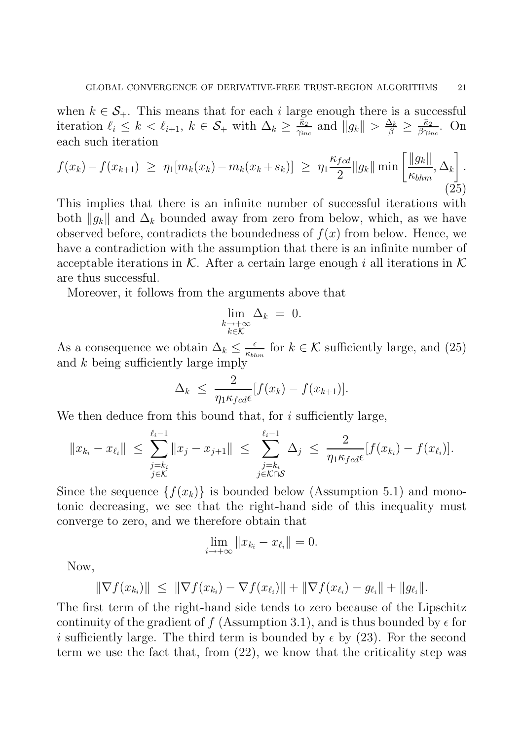when  $k \in \mathcal{S}_+$ . This means that for each i large enough there is a successful iteration  $\ell_i \leq k < \ell_{i+1}, k \in \mathcal{S}_+$  with  $\Delta_k \geq \frac{\bar{\kappa}_2}{\gamma_{in}}$  $\frac{\bar{\kappa}_2}{\gamma_{inc}}$  and  $\|g_k\| > \frac{\Delta_k}{\beta} \geq \frac{\bar{\kappa}_2}{\beta \gamma_{in}}$  $\frac{\kappa_2}{\beta\gamma_{inc}}$ . On each such iteration

$$
f(x_k) - f(x_{k+1}) \ge \eta_1[m_k(x_k) - m_k(x_k + s_k)] \ge \eta_1 \frac{\kappa_{fcd}}{2} \|g_k\| \min\left[\frac{\|g_k\|}{\kappa_{bhm}}, \Delta_k\right].
$$
\n(25)

This implies that there is an infinite number of successful iterations with both  $||g_k||$  and  $\Delta_k$  bounded away from zero from below, which, as we have observed before, contradicts the boundedness of  $f(x)$  from below. Hence, we have a contradiction with the assumption that there is an infinite number of acceptable iterations in K. After a certain large enough i all iterations in K are thus successful.

Moreover, it follows from the arguments above that

$$
\lim_{\substack{k \to +\infty \\ k \in \mathcal{K}}} \Delta_k = 0.
$$

As a consequence we obtain  $\Delta_k \leq \frac{\epsilon}{\kappa_{bh}}$  $\frac{\epsilon}{\kappa_{bbm}}$  for  $k \in \mathcal{K}$  sufficiently large, and (25) and k being sufficiently large imply

$$
\Delta_k \leq \frac{2}{\eta_1 \kappa_{fcd} \epsilon} [f(x_k) - f(x_{k+1})].
$$

We then deduce from this bound that, for  $i$  sufficiently large,

$$
||x_{k_i} - x_{\ell_i}|| \leq \sum_{\substack{j=k_i \\ j \in \mathcal{K}}}^{\ell_i - 1} ||x_j - x_{j+1}|| \leq \sum_{\substack{j=k_i \\ j \in \mathcal{K} \cap \mathcal{S}}}^{\ell_i - 1} \Delta_j \leq \frac{2}{\eta_1 \kappa_{fcd} \epsilon} [f(x_{k_i}) - f(x_{\ell_i})].
$$

Since the sequence  $\{f(x_k)\}\$ is bounded below (Assumption 5.1) and monotonic decreasing, we see that the right-hand side of this inequality must converge to zero, and we therefore obtain that

$$
\lim_{i \to +\infty} ||x_{k_i} - x_{\ell_i}|| = 0.
$$

Now,

$$
\|\nabla f(x_{k_i})\| \leq \|\nabla f(x_{k_i}) - \nabla f(x_{\ell_i})\| + \|\nabla f(x_{\ell_i}) - g_{\ell_i}\| + \|g_{\ell_i}\|.
$$

The first term of the right-hand side tends to zero because of the Lipschitz continuity of the gradient of f (Assumption 3.1), and is thus bounded by  $\epsilon$  for i sufficiently large. The third term is bounded by  $\epsilon$  by (23). For the second term we use the fact that, from (22), we know that the criticality step was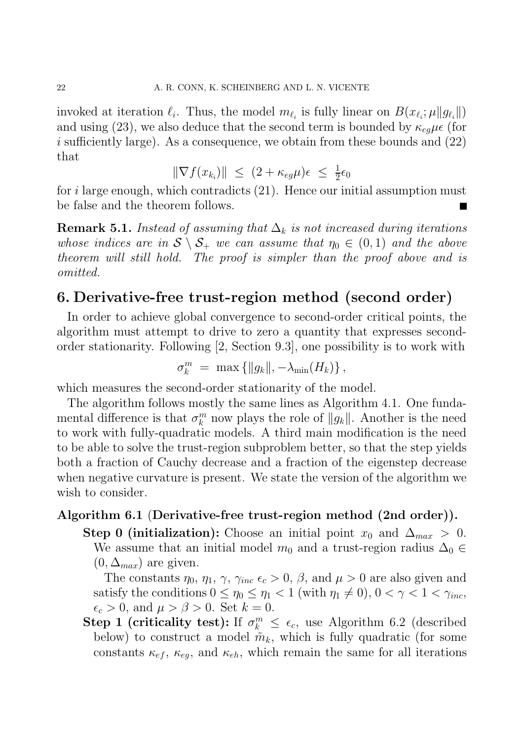invoked at iteration  $\ell_i$ . Thus, the model  $m_{\ell_i}$  is fully linear on  $B(x_{\ell_i}; \mu \| g_{\ell_i} \|)$ and using (23), we also deduce that the second term is bounded by  $\kappa_{eq}\mu\epsilon$  (for i sufficiently large). As a consequence, we obtain from these bounds and  $(22)$ that

$$
\|\nabla f(x_{k_i})\| \le (2 + \kappa_{eg}\mu)\epsilon \le \frac{1}{2}\epsilon_0
$$

for i large enough, which contradicts  $(21)$ . Hence our initial assumption must be false and the theorem follows.

**Remark 5.1.** Instead of assuming that  $\Delta_k$  is not increased during iterations whose indices are in  $S \setminus S_+$  we can assume that  $\eta_0 \in (0,1)$  and the above theorem will still hold. The proof is simpler than the proof above and is omitted.

## 6. Derivative-free trust-region method (second order)

In order to achieve global convergence to second-order critical points, the algorithm must attempt to drive to zero a quantity that expresses secondorder stationarity. Following [2, Section 9.3], one possibility is to work with

$$
\sigma_k^m = \max\left\{||g_k||, -\lambda_{\min}(H_k)\right\},\,
$$

which measures the second-order stationarity of the model.

The algorithm follows mostly the same lines as Algorithm 4.1. One fundamental difference is that  $\sigma_k^m$  $\binom{m}{k}$  now plays the role of  $||g_k||$ . Another is the need to work with fully-quadratic models. A third main modification is the need to be able to solve the trust-region subproblem better, so that the step yields both a fraction of Cauchy decrease and a fraction of the eigenstep decrease when negative curvature is present. We state the version of the algorithm we wish to consider.

### Algorithm 6.1 (Derivative-free trust-region method (2nd order)).

Step 0 (initialization): Choose an initial point  $x_0$  and  $\Delta_{max} > 0$ . We assume that an initial model  $m_0$  and a trust-region radius  $\Delta_0 \in$  $(0, \Delta_{max})$  are given.

The constants  $\eta_0$ ,  $\eta_1$ ,  $\gamma$ ,  $\gamma_{inc} \epsilon_c > 0$ ,  $\beta$ , and  $\mu > 0$  are also given and satisfy the conditions  $0 \le \eta_0 \le \eta_1 < 1$  (with  $\eta_1 \neq 0$ ),  $0 < \gamma < 1 < \gamma_{inc}$ ,  $\epsilon_c > 0$ , and  $\mu > \beta > 0$ . Set  $k = 0$ .

Step 1 (criticality test): If  $\sigma_k^m \leq \epsilon_c$ , use Algorithm 6.2 (described below) to construct a model  $\tilde{m}_k$ , which is fully quadratic (for some constants  $\kappa_{ef}$ ,  $\kappa_{eg}$ , and  $\kappa_{eh}$ , which remain the same for all iterations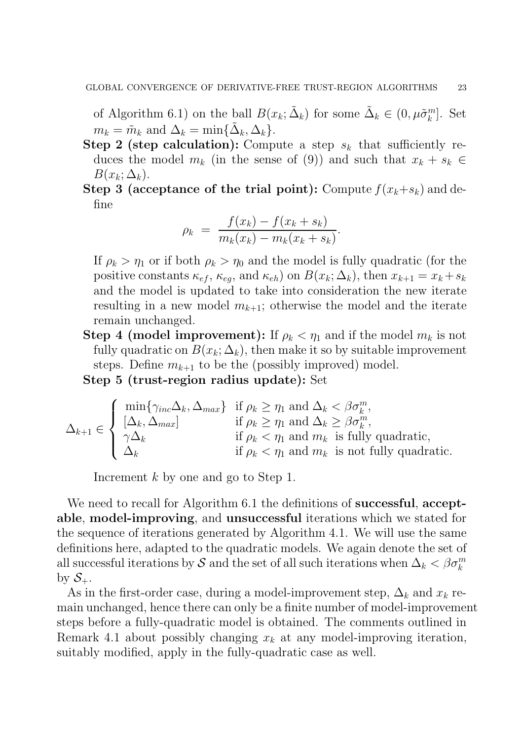of Algorithm 6.1) on the ball  $B(x_k; \tilde{\Delta}_k)$  for some  $\tilde{\Delta}_k \in (0, \mu \tilde{\sigma}_k^m)$  $_{k}^{m}$ ]. Set  $m_k = \tilde{m}_k$  and  $\Delta_k = \min\{\tilde{\Delta}_k, \Delta_k\}.$ 

- Step 2 (step calculation): Compute a step  $s_k$  that sufficiently reduces the model  $m_k$  (in the sense of (9)) and such that  $x_k + s_k \in$  $B(x_k; \Delta_k)$ .
- Step 3 (acceptance of the trial point): Compute  $f(x_k+s_k)$  and define

$$
\rho_k = \frac{f(x_k) - f(x_k + s_k)}{m_k(x_k) - m_k(x_k + s_k)}.
$$

If  $\rho_k > \eta_1$  or if both  $\rho_k > \eta_0$  and the model is fully quadratic (for the positive constants  $\kappa_{ef}$ ,  $\kappa_{eg}$ , and  $\kappa_{eh}$ ) on  $B(x_k; \Delta_k)$ , then  $x_{k+1} = x_k + s_k$ and the model is updated to take into consideration the new iterate resulting in a new model  $m_{k+1}$ ; otherwise the model and the iterate remain unchanged.

**Step 4 (model improvement):** If  $\rho_k < \eta_1$  and if the model  $m_k$  is not fully quadratic on  $B(x_k; \Delta_k)$ , then make it so by suitable improvement steps. Define  $m_{k+1}$  to be the (possibly improved) model.

Step 5 (trust-region radius update): Set

$$
\Delta_{k+1} \in \left\{ \begin{array}{ll} \min\{\gamma_{inc}\Delta_k, \Delta_{max}\} & \text{if } \rho_k \ge \eta_1 \text{ and } \Delta_k < \beta \sigma_k^m, \\ [\Delta_k, \Delta_{max}] & \text{if } \rho_k \ge \eta_1 \text{ and } \Delta_k \ge \beta \sigma_k^m, \\ \gamma \Delta_k & \text{if } \rho_k < \eta_1 \text{ and } m_k \text{ is fully quadratic,} \\ \Delta_k & \text{if } \rho_k < \eta_1 \text{ and } m_k \text{ is not fully quadratic.} \end{array} \right.
$$

Increment k by one and go to Step 1.

We need to recall for Algorithm 6.1 the definitions of **successful**, **accept**able, model-improving, and unsuccessful iterations which we stated for the sequence of iterations generated by Algorithm 4.1. We will use the same definitions here, adapted to the quadratic models. We again denote the set of all successful iterations by S and the set of all such iterations when  $\Delta_k < \beta \sigma_k^m$ by  $S_{+}$ .

As in the first-order case, during a model-improvement step,  $\Delta_k$  and  $x_k$  remain unchanged, hence there can only be a finite number of model-improvement steps before a fully-quadratic model is obtained. The comments outlined in Remark 4.1 about possibly changing  $x_k$  at any model-improving iteration, suitably modified, apply in the fully-quadratic case as well.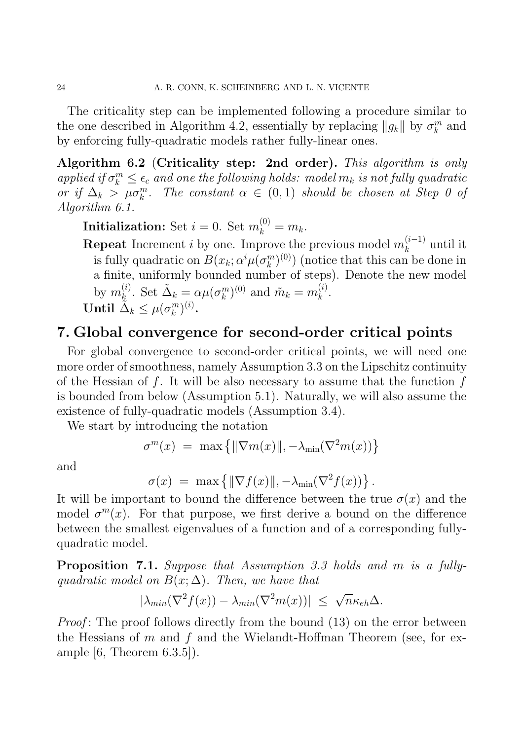The criticality step can be implemented following a procedure similar to the one described in Algorithm 4.2, essentially by replacing  $||g_k||$  by  $\sigma_k^m$  $\binom{m}{k}$  and by enforcing fully-quadratic models rather fully-linear ones.

Algorithm 6.2 (Criticality step: 2nd order). This algorithm is only applied if  $\sigma_k^m \leq \epsilon_c$  and one the following holds: model  $m_k$  is not fully quadratic or if  $\Delta_k > \mu \sigma_k^m$ . The constant  $\alpha \in (0,1)$  should be chosen at Step 0 of Algorithm 6.1.

**Initialization:** Set  $i = 0$ . Set  $m_k^{(0)} = m_k$ .

**Repeat** Increment *i* by one. Improve the previous model  $m_k^{(i-1)}$  $\binom{k}{k}$  until it is fully quadratic on  $B(x_k; \alpha^i \mu(\sigma_k^m))$  $\binom{m}{k}$ <sup>(0)</sup>) (notice that this can be done in a finite, uniformly bounded number of steps). Denote the new model by  $m_k^{(i)}$  $\Omega_k^{(i)}$ . Set  $\tilde{\Delta}_k = \alpha \mu(\sigma_k^m)$  $\binom{m}{k}^{(0)}$  and  $\tilde{m}_k = m_k^{(i)}$  $\frac{u}{k}$ . Until  $\tilde{\tilde{\Delta}}_k \leq \mu(\sigma_k^m)$  $_{k}^{m})^{\left( i\right) }.$ 

## 7. Global convergence for second-order critical points

For global convergence to second-order critical points, we will need one more order of smoothness, namely Assumption 3.3 on the Lipschitz continuity of the Hessian of f. It will be also necessary to assume that the function  $f$ is bounded from below (Assumption 5.1). Naturally, we will also assume the existence of fully-quadratic models (Assumption 3.4).

We start by introducing the notation

$$
\sigma^m(x) = \max \{ ||\nabla m(x)||, -\lambda_{\min}(\nabla^2 m(x)) \}
$$

and

$$
\sigma(x) = \max \{ ||\nabla f(x)||, -\lambda_{\min}(\nabla^2 f(x)) \}.
$$

It will be important to bound the difference between the true  $\sigma(x)$  and the model  $\sigma^m(x)$ . For that purpose, we first derive a bound on the difference between the smallest eigenvalues of a function and of a corresponding fullyquadratic model.

Proposition 7.1. Suppose that Assumption 3.3 holds and m is a fullyquadratic model on  $B(x; \Delta)$ . Then, we have that

$$
|\lambda_{min}(\nabla^2 f(x)) - \lambda_{min}(\nabla^2 m(x))| \leq \sqrt{n} \kappa_{eh} \Delta.
$$

*Proof*: The proof follows directly from the bound (13) on the error between the Hessians of  $m$  and  $f$  and the Wielandt-Hoffman Theorem (see, for example [6, Theorem 6.3.5]).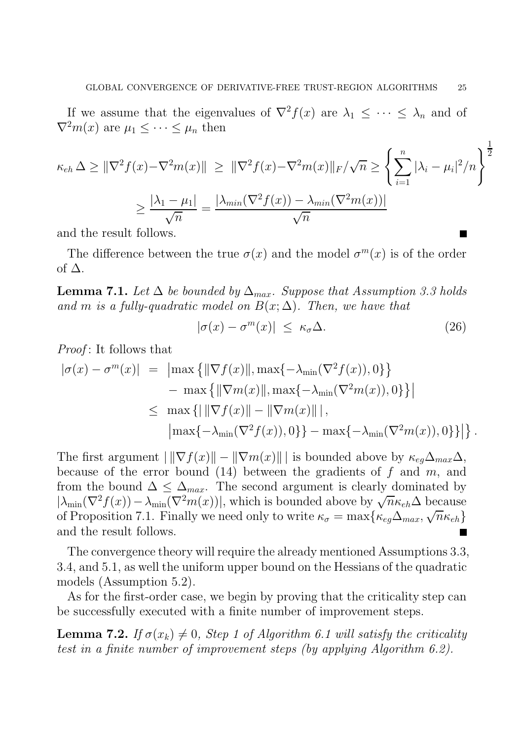If we assume that the eigenvalues of  $\nabla^2 f(x)$  are  $\lambda_1 \leq \cdots \leq \lambda_n$  and of  $\nabla^2 m(x)$  are  $\mu_1 \leq \cdots \leq \mu_n$  then

$$
\kappa_{eh} \Delta \geq \|\nabla^2 f(x) - \nabla^2 m(x)\| \geq \|\nabla^2 f(x) - \nabla^2 m(x)\|_F / \sqrt{n} \geq \left\{\sum_{i=1}^n |\lambda_i - \mu_i|^2 / n\right\}^{\frac{1}{2}}
$$

$$
\geq \frac{|\lambda_1 - \mu_1|}{\sqrt{n}} = \frac{|\lambda_{min}(\nabla^2 f(x)) - \lambda_{min}(\nabla^2 m(x))|}{\sqrt{n}}
$$

and the result follows.

The difference between the true  $\sigma(x)$  and the model  $\sigma^m(x)$  is of the order of  $\Delta$ .

**Lemma 7.1.** Let  $\Delta$  be bounded by  $\Delta_{max}$ . Suppose that Assumption 3.3 holds and m is a fully-quadratic model on  $B(x; \Delta)$ . Then, we have that

$$
|\sigma(x) - \sigma^m(x)| \le \kappa_{\sigma} \Delta. \tag{26}
$$

*Proof*: It follows that

$$
|\sigma(x) - \sigma^m(x)| = |\max \{ ||\nabla f(x)||, \max\{-\lambda_{\min}(\nabla^2 f(x)), 0\} \} - \max \{ ||\nabla m(x)||, \max\{-\lambda_{\min}(\nabla^2 m(x)), 0\} \} |
$$
  

$$
\leq \max \{ ||\nabla f(x)|| - ||\nabla m(x)|| |,
$$
  

$$
|\max\{-\lambda_{\min}(\nabla^2 f(x)), 0\} \} - \max\{-\lambda_{\min}(\nabla^2 m(x)), 0\} \} |.
$$

The first argument  $\|\nabla f(x)\| - \|\nabla m(x)\|$  is bounded above by  $\kappa_{eq}\Delta_{max}\Delta$ , because of the error bound (14) between the gradients of  $f$  and  $m$ , and from the bound  $\Delta \leq \Delta_{max}$ . The second argument is clearly dominated by  $|\lambda_{\min}(\nabla^2 f(x)) - \lambda_{\min}(\nabla^2 m(x))|$ , which is bounded above by  $\sqrt{n} \kappa_{eh} \Delta$  because of Proposition 7.1. Finally we need only to write  $\kappa_{\sigma} = \max\{\kappa_{eg}\Delta_{max}, \sqrt{n}\kappa_{eh}\}$ and the result follows.

The convergence theory will require the already mentioned Assumptions 3.3, 3.4, and 5.1, as well the uniform upper bound on the Hessians of the quadratic models (Assumption 5.2).

As for the first-order case, we begin by proving that the criticality step can be successfully executed with a finite number of improvement steps.

**Lemma 7.2.** If  $\sigma(x_k) \neq 0$ , Step 1 of Algorithm 6.1 will satisfy the criticality test in a finite number of improvement steps (by applying Algorithm 6.2).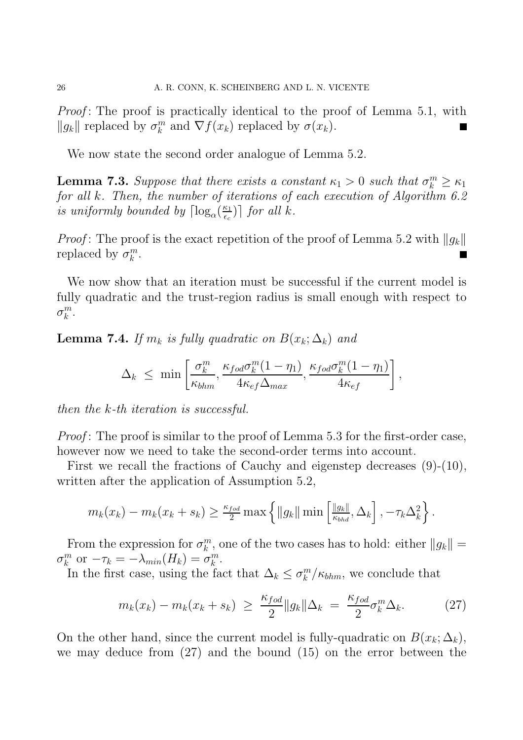Proof: The proof is practically identical to the proof of Lemma 5.1, with  $\|g_k\|$  replaced by  $\sigma_k^m$  $_k^m$  and  $\nabla f(x_k)$  replaced by  $\sigma(x_k)$ .

We now state the second order analogue of Lemma 5.2.

**Lemma 7.3.** Suppose that there exists a constant  $\kappa_1 > 0$  such that  $\sigma_k^m \geq \kappa_1$ for all k. Then, the number of iterations of each execution of Algorithm 6.2 is uniformly bounded by  $\lceil \log_{\alpha}(\frac{\kappa_1}{\epsilon_c}) \rceil$  $\left[\frac{\kappa_1}{\epsilon_c}\right]$  for all k.

*Proof*: The proof is the exact repetition of the proof of Lemma 5.2 with  $||g_k||$ replaced by  $\sigma_k^m$  $\frac{m}{k}$ . П

We now show that an iteration must be successful if the current model is fully quadratic and the trust-region radius is small enough with respect to  $\sigma^m_k$  $_k^m$ .

**Lemma 7.4.** If  $m_k$  is fully quadratic on  $B(x_k; \Delta_k)$  and

$$
\Delta_k \leq \min \left[ \frac{\sigma_k^m}{\kappa_{bhm}}, \frac{\kappa_{fod}\sigma_k^m(1-\eta_1)}{4\kappa_{ef}\Delta_{max}}, \frac{\kappa_{fod}\sigma_k^m(1-\eta_1)}{4\kappa_{ef}} \right],
$$

then the k-th iteration is successful.

*Proof*: The proof is similar to the proof of Lemma 5.3 for the first-order case, however now we need to take the second-order terms into account.

First we recall the fractions of Cauchy and eigenstep decreases (9)-(10), written after the application of Assumption 5.2,

$$
m_k(x_k) - m_k(x_k + s_k) \ge \frac{\kappa_{fod}}{2} \max \left\{ \|g_k\| \min \left[\frac{\|g_k\|}{\kappa_{bhd}}, \Delta_k \right], -\tau_k \Delta_k^2 \right\}.
$$

From the expression for  $\sigma_k^m$  $_k^m$ , one of the two cases has to hold: either  $||g_k|| =$  $\sigma^m_k$  $\sum_{k=0}^{m}$  or  $-\tau_k = -\lambda_{min}(H_k) = \sigma_k^m$  $_k^m$ .

In the first case, using the fact that  $\Delta_k \leq \sigma_k^m$  $\binom{m}{k}/\kappa_{bhm}$ , we conclude that

$$
m_k(x_k) - m_k(x_k + s_k) \ge \frac{\kappa_{fod}}{2} \|g_k\|\Delta_k = \frac{\kappa_{fod}}{2} \sigma_k^m \Delta_k. \tag{27}
$$

On the other hand, since the current model is fully-quadratic on  $B(x_k; \Delta_k)$ , we may deduce from (27) and the bound (15) on the error between the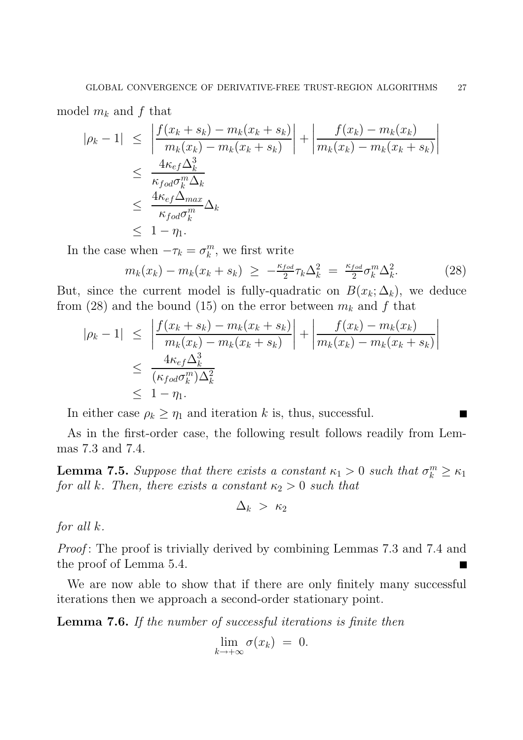model  $m_k$  and f that

$$
|\rho_k - 1| \leq \left| \frac{f(x_k + s_k) - m_k(x_k + s_k)}{m_k(x_k) - m_k(x_k + s_k)} \right| + \left| \frac{f(x_k) - m_k(x_k)}{m_k(x_k) - m_k(x_k + s_k)} \right|
$$
  

$$
\leq \frac{4\kappa_{ef} \Delta_k^3}{\kappa_{fod} \sigma_k^m \Delta_k}
$$
  

$$
\leq \frac{4\kappa_{ef} \Delta_{max}}{\kappa_{fod} \sigma_k^m} \Delta_k
$$
  

$$
\leq 1 - \eta_1.
$$

In the case when  $-\tau_k = \sigma_k^m$  $_k^m$ , we first write

$$
m_k(x_k) - m_k(x_k + s_k) \ge -\frac{\kappa_{fod}}{2} \tau_k \Delta_k^2 = \frac{\kappa_{fod}}{2} \sigma_k^m \Delta_k^2. \tag{28}
$$

But, since the current model is fully-quadratic on  $B(x_k; \Delta_k)$ , we deduce from (28) and the bound (15) on the error between  $m_k$  and f that

$$
|\rho_k - 1| \leq \left| \frac{f(x_k + s_k) - m_k(x_k + s_k)}{m_k(x_k) - m_k(x_k + s_k)} \right| + \left| \frac{f(x_k) - m_k(x_k)}{m_k(x_k) - m_k(x_k + s_k)} \right|
$$
  

$$
\leq \frac{4\kappa_{ef}\Delta_k^3}{(\kappa_{fod}\sigma_k^m)\Delta_k^2}
$$
  

$$
\leq 1 - \eta_1.
$$

In either case  $\rho_k \geq \eta_1$  and iteration k is, thus, successful.

As in the first-order case, the following result follows readily from Lemmas 7.3 and 7.4.

**Lemma 7.5.** Suppose that there exists a constant  $\kappa_1 > 0$  such that  $\sigma_k^m \geq \kappa_1$ for all k. Then, there exists a constant  $\kappa_2 > 0$  such that

$$
\Delta_k~>~\kappa_2
$$

for all k.

Proof: The proof is trivially derived by combining Lemmas 7.3 and 7.4 and the proof of Lemma 5.4.

We are now able to show that if there are only finitely many successful iterations then we approach a second-order stationary point.

Lemma 7.6. If the number of successful iterations is finite then

$$
\lim_{k \to +\infty} \sigma(x_k) = 0.
$$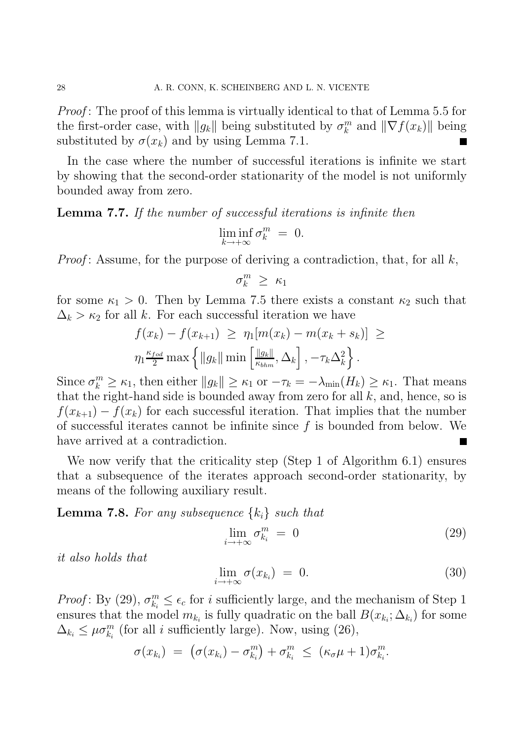Proof: The proof of this lemma is virtually identical to that of Lemma 5.5 for the first-order case, with  $||g_k||$  being substituted by  $\sigma_k^m$  $_k^m$  and  $\|\nabla f(x_k)\|$  being substituted by  $\sigma(x_k)$  and by using Lemma 7.1.

In the case where the number of successful iterations is infinite we start by showing that the second-order stationarity of the model is not uniformly bounded away from zero.

Lemma 7.7. If the number of successful iterations is infinite then

$$
\liminf_{k \to +\infty} \sigma_k^m = 0.
$$

*Proof*: Assume, for the purpose of deriving a contradiction, that, for all  $k$ ,

$$
\sigma_k^m \geq \kappa_1
$$

for some  $\kappa_1 > 0$ . Then by Lemma 7.5 there exists a constant  $\kappa_2$  such that  $\Delta_k > \kappa_2$  for all k. For each successful iteration we have

$$
f(x_k) - f(x_{k+1}) \geq \eta_1[m(x_k) - m(x_k + s_k)] \geq
$$
  

$$
\eta_1 \frac{\kappa_{fod}}{2} \max \left\{ ||g_k|| \min \left[ \frac{||g_k||}{\kappa_{bhm}}, \Delta_k \right], -\tau_k \Delta_k^2 \right\}.
$$

Since  $\sigma_k^m \geq \kappa_1$ , then either  $||g_k|| \geq \kappa_1$  or  $-\tau_k = -\lambda_{\min}(H_k) \geq \kappa_1$ . That means that the right-hand side is bounded away from zero for all  $k$ , and, hence, so is  $f(x_{k+1}) - f(x_k)$  for each successful iteration. That implies that the number of successful iterates cannot be infinite since  $f$  is bounded from below. We have arrived at a contradiction. B

We now verify that the criticality step (Step 1 of Algorithm 6.1) ensures that a subsequence of the iterates approach second-order stationarity, by means of the following auxiliary result.

**Lemma 7.8.** For any subsequence  $\{k_i\}$  such that

$$
\lim_{i \to +\infty} \sigma_{k_i}^m = 0 \tag{29}
$$

it also holds that

$$
\lim_{i \to +\infty} \sigma(x_{k_i}) = 0. \tag{30}
$$

Proof: By (29),  $\sigma_{k_i}^m \leq \epsilon_c$  for *i* sufficiently large, and the mechanism of Step 1 ensures that the model  $m_{k_i}$  is fully quadratic on the ball  $B(x_{k_i}; \Delta_{k_i})$  for some  $\Delta_{k_i} \leq \mu \sigma_{k_i}^m$  (for all *i* sufficiently large). Now, using (26),

$$
\sigma(x_{k_i}) = (\sigma(x_{k_i}) - \sigma_{k_i}^m) + \sigma_{k_i}^m \leq (\kappa_{\sigma}\mu + 1)\sigma_{k_i}^m.
$$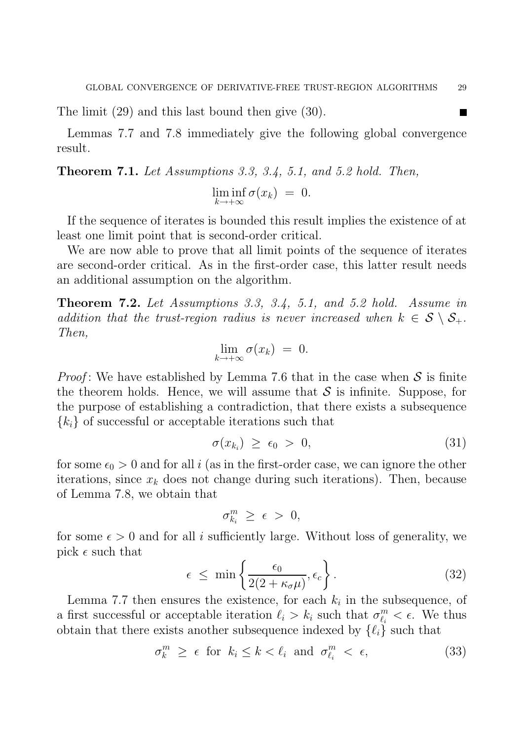The limit (29) and this last bound then give (30).

Lemmas 7.7 and 7.8 immediately give the following global convergence result.

Theorem 7.1. Let Assumptions 3.3, 3.4, 5.1, and 5.2 hold. Then,

$$
\liminf_{k \to +\infty} \sigma(x_k) = 0.
$$

If the sequence of iterates is bounded this result implies the existence of at least one limit point that is second-order critical.

We are now able to prove that all limit points of the sequence of iterates are second-order critical. As in the first-order case, this latter result needs an additional assumption on the algorithm.

Theorem 7.2. Let Assumptions 3.3, 3.4, 5.1, and 5.2 hold. Assume in addition that the trust-region radius is never increased when  $k \in S \setminus S_+$ . Then,

$$
\lim_{k \to +\infty} \sigma(x_k) = 0.
$$

*Proof*: We have established by Lemma 7.6 that in the case when  $S$  is finite the theorem holds. Hence, we will assume that  $\mathcal S$  is infinite. Suppose, for the purpose of establishing a contradiction, that there exists a subsequence  ${k_i}$  of successful or acceptable iterations such that

$$
\sigma(x_{k_i}) \geq \epsilon_0 > 0, \tag{31}
$$

for some  $\epsilon_0 > 0$  and for all i (as in the first-order case, we can ignore the other iterations, since  $x_k$  does not change during such iterations). Then, because of Lemma 7.8, we obtain that

$$
\sigma^m_{k_i} \geq \epsilon > 0,
$$

for some  $\epsilon > 0$  and for all i sufficiently large. Without loss of generality, we pick  $\epsilon$  such that

$$
\epsilon \leq \min\left\{\frac{\epsilon_0}{2(2+\kappa_\sigma\mu)}, \epsilon_c\right\}.
$$
\n(32)

Lemma 7.7 then ensures the existence, for each  $k_i$  in the subsequence, of a first successful or acceptable iteration  $\ell_i > k_i$  such that  $\sigma_{\ell_i}^m$  $\frac{m}{\ell_i} < \epsilon$ . We thus obtain that there exists another subsequence indexed by  $\{\ell_i\}$  such that

$$
\sigma_k^m \ge \epsilon \text{ for } k_i \le k < \ell_i \text{ and } \sigma_{\ell_i}^m < \epsilon,\tag{33}
$$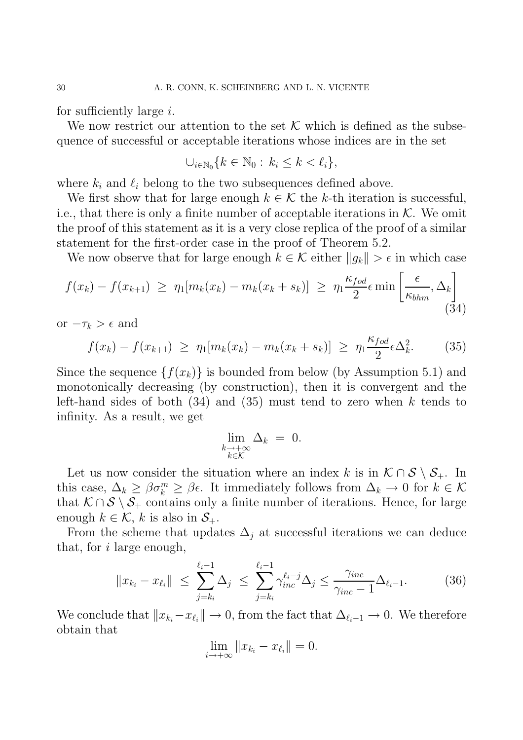for sufficiently large  $i$ .

We now restrict our attention to the set  $K$  which is defined as the subsequence of successful or acceptable iterations whose indices are in the set

$$
\cup_{i\in\mathbb{N}_0}\{k\in\mathbb{N}_0:\,k_i\leq k<\ell_i\},\
$$

where  $k_i$  and  $\ell_i$  belong to the two subsequences defined above.

We first show that for large enough  $k \in \mathcal{K}$  the k-th iteration is successful, i.e., that there is only a finite number of acceptable iterations in  $K$ . We omit the proof of this statement as it is a very close replica of the proof of a similar statement for the first-order case in the proof of Theorem 5.2.

We now observe that for large enough  $k \in \mathcal{K}$  either  $||g_k|| > \epsilon$  in which case

$$
f(x_k) - f(x_{k+1}) \ge \eta_1[m_k(x_k) - m_k(x_k + s_k)] \ge \eta_1 \frac{\kappa_{fod}}{2} \epsilon \min\left[\frac{\epsilon}{\kappa_{bhm}}, \Delta_k\right]
$$
\n(34)

or  $-\tau_k > \epsilon$  and

$$
f(x_k) - f(x_{k+1}) \ge \eta_1[m_k(x_k) - m_k(x_k + s_k)] \ge \eta_1 \frac{\kappa_{fod}}{2} \epsilon \Delta_k^2.
$$
 (35)

Since the sequence  $\{f(x_k)\}\$ is bounded from below (by Assumption 5.1) and monotonically decreasing (by construction), then it is convergent and the left-hand sides of both  $(34)$  and  $(35)$  must tend to zero when k tends to infinity. As a result, we get

$$
\lim_{\substack{k \to +\infty \\ k \in \mathcal{K}}} \Delta_k = 0.
$$

Let us now consider the situation where an index k is in  $\mathcal{K} \cap \mathcal{S} \setminus \mathcal{S}_+$ . In this case,  $\Delta_k \geq \beta \sigma_k^m \geq \beta \epsilon$ . It immediately follows from  $\Delta_k \to 0$  for  $k \in \mathcal{K}$ that  $K \cap S \setminus S_+$  contains only a finite number of iterations. Hence, for large enough  $k \in \mathcal{K}$ , k is also in  $\mathcal{S}_+$ .

From the scheme that updates  $\Delta_i$  at successful iterations we can deduce that, for i large enough,

$$
||x_{k_i} - x_{\ell_i}|| \le \sum_{j=k_i}^{\ell_i - 1} \Delta_j \le \sum_{j=k_i}^{\ell_i - 1} \gamma_{inc}^{\ell_i - j} \Delta_j \le \frac{\gamma_{inc}}{\gamma_{inc} - 1} \Delta_{\ell_i - 1}.
$$
 (36)

We conclude that  $||x_{k_i}-x_{\ell_i}|| \to 0$ , from the fact that  $\Delta_{\ell_i-1} \to 0$ . We therefore obtain that

$$
\lim_{i \to +\infty} ||x_{k_i} - x_{\ell_i}|| = 0.
$$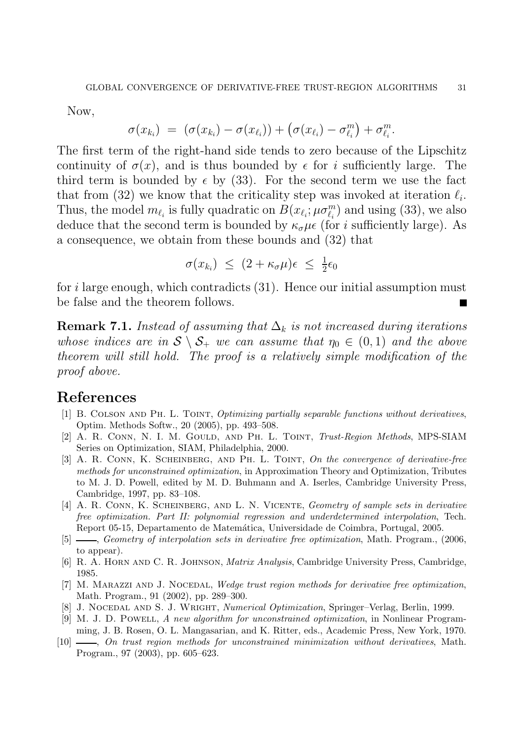Now,

$$
\sigma(x_{k_i}) = (\sigma(x_{k_i}) - \sigma(x_{\ell_i})) + (\sigma(x_{\ell_i}) - \sigma_{\ell_i}^m) + \sigma_{\ell_i}^m.
$$

The first term of the right-hand side tends to zero because of the Lipschitz continuity of  $\sigma(x)$ , and is thus bounded by  $\epsilon$  for i sufficiently large. The third term is bounded by  $\epsilon$  by (33). For the second term we use the fact that from (32) we know that the criticality step was invoked at iteration  $\ell_i$ . Thus, the model  $m_{\ell_i}$  is fully quadratic on  $B(x_{\ell_i}; \mu \sigma^m_{\ell_i})$  and using (33), we also deduce that the second term is bounded by  $\kappa_{\sigma}\mu\epsilon$  (for *i* sufficiently large). As a consequence, we obtain from these bounds and (32) that

$$
\sigma(x_{k_i}) \leq (2 + \kappa_{\sigma}\mu)\epsilon \leq \frac{1}{2}\epsilon_0
$$

for i large enough, which contradicts  $(31)$ . Hence our initial assumption must be false and the theorem follows.

**Remark 7.1.** Instead of assuming that  $\Delta_k$  is not increased during iterations whose indices are in  $S \setminus S_+$  we can assume that  $\eta_0 \in (0,1)$  and the above theorem will still hold. The proof is a relatively simple modification of the proof above.

## References

- [1] B. Colson and Ph. L. Toint, Optimizing partially separable functions without derivatives, Optim. Methods Softw., 20 (2005), pp. 493–508.
- [2] A. R. CONN, N. I. M. GOULD, AND PH. L. TOINT, Trust-Region Methods, MPS-SIAM Series on Optimization, SIAM, Philadelphia, 2000.
- [3] A. R. CONN, K. SCHEINBERG, AND PH. L. TOINT, On the convergence of derivative-free methods for unconstrained optimization, in Approximation Theory and Optimization, Tributes to M. J. D. Powell, edited by M. D. Buhmann and A. Iserles, Cambridge University Press, Cambridge, 1997, pp. 83–108.
- [4] A. R. CONN, K. SCHEINBERG, AND L. N. VICENTE, Geometry of sample sets in derivative free optimization. Part II: polynomial regression and underdetermined interpolation, Tech. Report 05-15, Departamento de Matem´atica, Universidade de Coimbra, Portugal, 2005.
- $[5]$  , Geometry of interpolation sets in derivative free optimization, Math. Program.,  $(2006,$ to appear).
- [6] R. A. Horn and C. R. Johnson, Matrix Analysis, Cambridge University Press, Cambridge, 1985.
- [7] M. MARAZZI AND J. NOCEDAL, Wedge trust region methods for derivative free optimization, Math. Program., 91 (2002), pp. 289–300.
- [8] J. NOCEDAL AND S. J. WRIGHT, *Numerical Optimization*, Springer–Verlag, Berlin, 1999.
- [9] M. J. D. POWELL, A new algorithm for unconstrained optimization, in Nonlinear Programming, J. B. Rosen, O. L. Mangasarian, and K. Ritter, eds., Academic Press, New York, 1970.
- [10] , On trust region methods for unconstrained minimization without derivatives, Math. Program., 97 (2003), pp. 605–623.